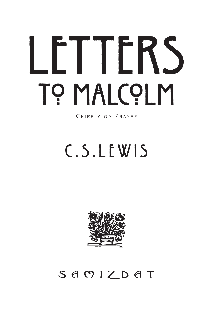# FTTFRS to Malcolm

C HIFFIY ON PRAYER

#### C.S.Lewis



#### Samizdat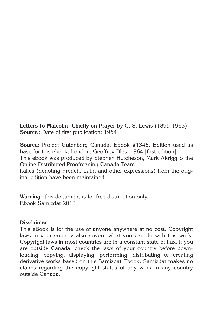**Letters to Malcolm: Chiefly on Prayer** by C. S. Lewis (1895-1963) **Source** : Date of first publication: 1964

**Source**: [Project Gutenberg Canada,](http://www.gutenberg.ca/) Ebook #1346. Edition used as base for this ebook: London: Geoffrey Bles, 1964 [first edition] This ebook was produced by Stephen Hutcheson, Mark Akrigg & the Online Distributed Proofreading Canada Team.

Italics (denoting French, Latin and other expressions) from the original edition have been maintained.

**Warning** : this document is for free distribution only. [Ebook Samizdat](http://www.samizdat.qc.ca/Ebooks/) 2018

#### **Disclaimer**

This eBook is for the use of anyone anywhere at no cost. Copyright laws in your country also govern what you can do with this work. Copyright laws in most countries are in a constant state of flux. If you are outside Canada, check the laws of your country before downloading, copying, displaying, performing, distributing or creating derivative works based on this Samizdat Ebook. Samizdat makes no claims regarding the copyright status of any work in any country outside Canada.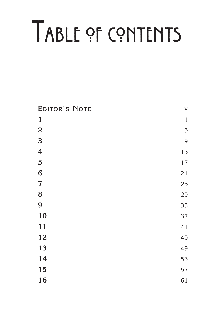### TABLE OF CONTENTS

| <b>EDITOR'S NOTE</b>    | $\mathsf{V}$ |
|-------------------------|--------------|
| $\mathbf{1}$            | $\,1$        |
| 2                       | 5            |
| 3                       | 9            |
| 4                       | 13           |
| 5                       | 17           |
| 6                       | 21           |
| $\overline{\mathbf{7}}$ | 25           |
| 8                       | 29           |
| 9                       | 33           |
| 10                      | 37           |
| 11                      | 41           |
| 12                      | 45           |
| 13                      | 49           |
| 14                      | 53           |
| 15                      | 57           |
| 16                      | 61           |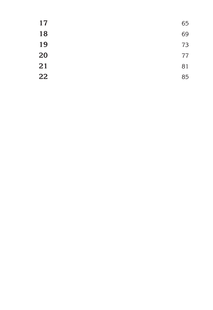| 17 | 65 |
|----|----|
| 18 | 69 |
| 19 | 73 |
| 20 | 77 |
| 21 | 81 |
| 22 | 85 |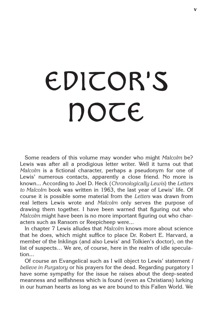## <span id="page-4-0"></span>Editor's Note

Some readers of this volume may wonder who might *Malcolm* be? Lewis was after all a prodigious letter writer. Well it turns out that *Malcolm* is a fictional character, perhaps a pseudonym for one of Lewis' numerous contacts, apparently a close friend. No more is known... According to Joel D. Heck (*Chronologically Lewis*) the *Letters to Malcolm* book was written in 1963, the last year of Lewis' life. Of course it is possible some material from the *Letters* was drawn from real letters Lewis wrote and *Malcolm* only serves the purpose of drawing them together. I have been warned that figuring out who *Malcolm* might have been is no more important figuring out who characters such as Ransom or Reepicheep were...

In chapter 7 Lewis alludes that *Malcolm* knows more about science that he does, which might suffice to place Dr. Robert E. Harvard, a member of the Inklings (and also Lewis' and Tolkien's doctor), on the list of suspects… We are, of course, here in the realm of idle speculation...

Of course an Evangelical such as I will object to Lewis' statement *I believe in Purgatory* or his prayers for the dead. Regarding purgatory I have some sympathy for the issue he raises about the deep-seated meanness and selfishness which is found (even as Christians) lurking in our human hearts as long as we are bound to this Fallen World. We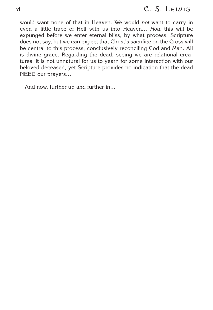would want none of that in Heaven. We would *not* want to carry in even a little trace of Hell with us into Heaven… *How* this will be expunged before we enter eternal bliss, by what process, Scripture does not say, but we can expect that Christ's sacrifice on the Cross will be central to this process, conclusively reconciling God and Man. All is divine grace. Regarding the dead, seeing we are relational creatures, it is not unnatural for us to yearn for some interaction with our beloved deceased, yet Scripture provides no indication that the dead NEED our prayers…

And now, further up and further in…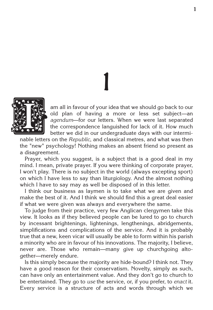<span id="page-6-0"></span>am all in favour of your idea that we should go back to our<br>old plan of having a more or less set subject—an<br>agendum—for our letters. When we were last separated<br>the correspondence languished for lack of it. How much<br>bette old plan of having a more or less set subject—an *agendum*—for our letters. When we were last separated the correspondence languished for lack of it. How much better we did in our undergraduate days with our intermi-

nable letters on the *Republic*, and classical metres, and what was then the "new" psychology! Nothing makes an absent friend so present as a disagreement.

1

Prayer, which you suggest, is a subject that is a good deal in my mind. I mean, private prayer. If you were thinking of corporate prayer, I won't play. There is no subject in the world (always excepting sport) on which I have less to say than liturgiology. And the almost nothing which I have to say may as well be disposed of in this letter.

I think our business as laymen is to take what we are given and make the best of it. And I think we should find this a great deal easier if what we were given was always and everywhere the same.

To judge from their practice, very few Anglican clergymen take this view. It looks as if they believed people can be lured to go to church by incessant brightenings, lightenings, lengthenings, abridgements, simplifications and complications of the service. And it is probably true that a new, keen vicar will usually be able to form within his parish a minority who are in favour of his innovations. The majority, I believe, never are. Those who remain—many give up churchgoing altogether—merely endure.

Is this simply because the majority are hide-bound? I think not. They have a good reason for their conservatism. Novelty, simply as such, can have only an entertainment value. And they don't go to church to be entertained. They go to *use* the service, or, if you prefer, to *enact* it. Every service is a structure of acts and words through which we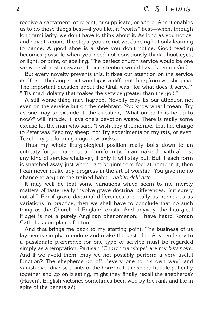receive a sacrament, or repent, or supplicate, or adore. And it enables us to do these things best—if you like, it "works" best—when, through long familiarity, we don't have to think about it. As long as you notice, and have to count, the steps, you are not yet dancing but only learning to dance. A good shoe is a shoe you don't notice. Good reading becomes possible when you need not consciously think about eyes, or light, or print, or spelling. The perfect church service would be one we were almost unaware of; our attention would have been on God.

But every novelty prevents this. It fixes our attention on the service itself; and thinking about worship is a different thing from worshipping. The important question about the Grail was "for what does it serve?" "'Tis mad idolatry that makes the service greater than the god."

A still worse thing may happen. Novelty may fix our attention not even on the service but on the celebrant. You know what I mean. Try as one may to exclude it, the question, "What on earth is he up to now?" will intrude. It lays one's devotion waste. There is really some excuse for the man who said, "I wish they'd remember that the charge to Peter was Feed my sheep; not Try experiments on my rats, or even, Teach my performing dogs new tricks."

Thus my whole liturgiological position really boils down to an entreaty for permanence and uniformity. I can make do with almost any kind of service whatever, if only it will stay put. But if each form is snatched away just when I am beginning to feel at home in it, then I can never make any progress in the art of worship. You give me no chance to acquire the trained habit—*habito dell' arte*.

It may well be that some variations which seem to me merely matters of taste really involve grave doctrinal differences. But surely not all? For if grave doctrinal differences are really as numerous as variations in practice, then we shall have to conclude that no such thing as the Church of England exists. And anyway, the Liturgical Fidget is not a purely Anglican phenomenon; I have heard Roman Catholics complain of it too.

And that brings me back to my starting point. The business of us laymen is simply to endure and make the best of it. Any tendency to a passionate preference for one type of service must be regarded simply as a temptation. Partisan "Churchmanships" are my *bête noire*. And if we avoid them, may we not possibly perform a very useful function? The shepherds go off, "every one to his own way" and vanish over diverse points of the horizon. If the sheep huddle patiently together and go on bleating, might they finally recall the shepherds? (Haven't English victories sometimes been won by the rank and file in spite of the generals?)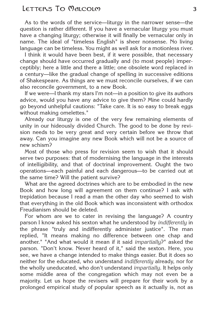#### letters to malcolm **3**

As to the words of the service—liturgy in the narrower sense—the question is rather different. If you have a vernacular liturgy you must have a changing liturgy; otherwise it will finally be vernacular only in name. The ideal of "timeless English" is sheer nonsense. No living language can be timeless. You might as well ask for a motionless river.

I think it would have been best, if it were possible, that necessary change should have occurred gradually and (to most people) imperceptibly; here a little and there a little; one obsolete word replaced in a century—like the gradual change of spelling in successive editions of Shakespeare. As things are we must reconcile ourselves, if we can also reconcile government, to a new Book.

If we were—I thank my stars I'm not—in a position to give its authors advice, would you have any advice to give them? Mine could hardly go beyond unhelpful cautions: "Take care. It is so easy to break eggs without making omelettes."

Already our liturgy is one of the very few remaining elements of unity in our hideously divided Church. The good to be done by revision needs to be very great and very certain before we throw that away. Can you imagine any new Book which will not be a source of new schism?

Most of those who press for revision seem to wish that it should serve two purposes: that of modernising the language in the interests of intelligibility, and that of doctrinal improvement. Ought the two operations—each painful and each dangerous—to be carried out at the same time? Will the patient survive?

What are the agreed doctrines which are to be embodied in the new Book and how long will agreement on them continue? I ask with trepidation because I read a man the other day who seemed to wish that everything in the old Book which was inconsistent with orthodox Freudianism should be deleted.

For whom are we to cater in revising the language? A country parson I know asked his sexton what he understood by *indifferently* in the phrase "truly and indifferently administer justice". The man replied, "It means making no difference between one chap and another." "And what would it mean if it said *impartially*?" asked the parson. "Don't know. Never heard of it," said the sexton. Here, you see, we have a change intended to make things easier. But it does so neither for the educated, who understand *indifferently* already, nor for the wholly uneducated, who don't understand *impartially*. It helps only some middle area of the congregation which may not even be a majority. Let us hope the revisers will prepare for their work by a prolonged empirical study of popular speech as it actually is, not as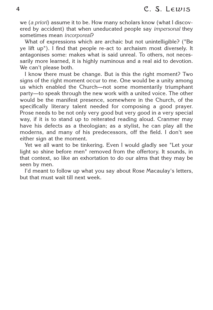we (*a priori*) assume it to be. How many scholars know (what I discovered by accident) that when uneducated people say *impersonal* they sometimes mean *incorporeal*?

What of expressions which are archaic but not unintelligible? ("Be ye lift up"). I find that people re-act to archaism most diversely. It antagonises some: makes what is said unreal. To others, not necessarily more learned, it is highly numinous and a real aid to devotion. We can't please both.

I know there must be change. But is this the right moment? Two signs of the right moment occur to me. One would be a unity among us which enabled the Church—not some momentarily triumphant party—to speak through the new work with a united voice. The other would be the manifest presence, somewhere in the Church, of the specifically literary talent needed for composing a good prayer. Prose needs to be not only very good but very good in a very special way, if it is to stand up to reiterated reading aloud. Cranmer may have his defects as a theologian; as a stylist, he can play all the moderns, and many of his predecessors, off the field. I don't see either sign at the moment.

Yet we all want to be tinkering. Even I would gladly see "Let your light so shine before men" removed from the offertory. It sounds, in that context, so like an exhortation to do our alms that they may be seen by men.

I'd meant to follow up what you say about Rose Macaulay's letters, but that must wait till next week.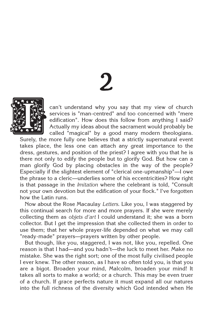<span id="page-10-0"></span>

The can't understand why you say that my view of church services is "man-centred" and too concerned with "mere edification". How does this follow from anything I said?<br>Actually my ideas about the sacrament would probably b services is "man-centred" and too concerned with "mere edification". How does this follow from anything I said? Actually my ideas about the sacrament would probably be

Surely, the more fully one believes that a strictly supernatural event takes place, the less one can attach any great importance to the dress, gestures, and position of the priest? I agree with you that he is there not only to edify the people but to glorify God. But how can a man glorify God by placing obstacles in the way of the people? Especially if the slightest element of "clerical one-upmanship"—I owe the phrase to a cleric—underlies some of his eccentricities? How right is that passage in the *Imitation* where the celebrant is told, "Consult not your own devotion but the edification of your flock." I've forgotten how the Latin runs.

Now about the Rose Macaulay *Letters*. Like you, I was staggered by this continual search for more and more prayers. If she were merely collecting them as *objets d'art* I could understand it; she was a born collector. But I get the impression that she collected them in order to use them; that her whole prayer-life depended on what we may call "ready-made" prayers—prayers written by other people.

But though, like you, staggered, I was not, like you, repelled. One reason is that I had—and you hadn't—the luck to meet her. Make no mistake. She was the right sort; one of the most fully civilised people I ever knew. The other reason, as I have so often told you, is that you are a bigot. Broaden your mind, Malcolm, broaden your mind! It takes all sorts to make a world; or a church. This may be even truer of a church. If grace perfects nature it must expand all our natures into the full richness of the diversity which God intended when He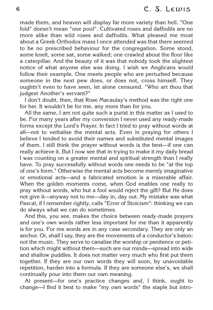made them, and heaven will display far more variety than hell. "One fold" doesn't mean "one pool". Cultivated roses and daffodils are no more alike than wild roses and daffodils. What pleased me most about a Greek Orthodox mass I once attended was that there seemed to be no prescribed behaviour for the congregation. Some stood, some knelt, some sat, some walked; one crawled about the floor like a caterpillar. And the beauty of it was that nobody took the slightest notice of what anyone else was doing. I wish we Anglicans would follow their example. One meets people who are perturbed because someone in the next pew does, or does not, cross himself. They oughtn't even to have seen, let alone censured. "Who art thou that judgest Another's servant?"

I don't doubt, then, that Rose Macaulay's method was the right one for her. It wouldn't be for me, any more than for you.

All the same, I am not quite such a purist in this matter as I used to be. For many years after my conversion I never used any ready-made forms except the Lord's Prayer. In fact I tried to pray without words at all—not to verbalise the mental acts. Even in praying for others I believe I tended to avoid their names and substituted mental images of them. I still think the prayer without words is the best—if one can really achieve it. But I now see that in trying to make it my daily bread I was counting on a greater mental and spiritual strength than I really have. To pray successfully without words one needs to be "at the top of one's form." Otherwise the mental acts become merely imaginative or emotional acts—and a fabricated emotion is a miserable affair. When the golden moments come, when God enables one really to pray without words, who but a fool would reject the gift? But He does not give it—anyway not to me—day in, day out. My mistake was what Pascal, if I remember rightly, calls "Error of Stoicism": thinking we can do always what we can do sometimes.

And this, you see, makes the choice between ready-made prayers and one's own words rather less important for me than it apparently is for you. For me words are in any case secondary. They are only an anchor. Or, shall I say, they are the movements of a conductor's baton: not the music. They serve to canalise the worship or penitence or petition which might without them—such are our minds—spread into wide and shallow puddles. It does not matter very much who first put them together. If they are our own words they will soon, by unavoidable repetition, harden into a formula. If they are someone else's, we shall continually pour into them our own meaning.

At present—for one's practice changes and, I think, ought to change—I find it best to make "my own words" the staple but intro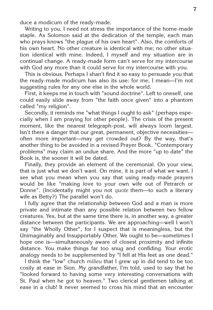duce a modicum of the ready-made.

Writing to you, I need not stress the importance of the home-made staple. As Solomon said at the dedication of the temple, each man who prays knows "the plague of his own heart". Also, the comforts of his own heart. No other creature is identical with me; no other situation identical with mine. Indeed, I myself and my situation are in continual change. A ready-made form can't serve for my intercourse with God any more than it could serve for my intercourse with you.

This is obvious. Perhaps I shan't find it so easy to persuade you that the ready-made modicum has also its use: for me, I mean—I'm not suggesting rules for any one else in the whole world.

First, it keeps me in touch with "sound doctrine". Left to oneself, one could easily slide away from "the faith once given" into a phantom called "my religion".

Secondly, it reminds me "what things I ought to ask" (perhaps especially when I am praying for other people). The crisis of the present moment, like the nearest telegraph-post, will always loom largest. Isn't there a danger that our great, permanent, objective necessities often more important—may get crowded out? By the way, that's another thing to be avoided in a revised Prayer Book. "Contemporary problems" may claim an undue share. And the more "up to date" the Book is, the sooner it will be dated.

Finally, they provide an element of the ceremonial. On your view, that is just what we don't want. On mine, it is part of what we want. I see what you mean when you say that using ready-made prayers would be like "making love to your own wife out of Petrarch or Donne". (Incidentally might you not *quote* them—to such a literary wife as Betty?) The parallel won't do.

I fully agree that the relationship between God and a man is more private and intimate than any possible relation between two fellow creatures. Yes, but at the same time there is, in another way, a greater distance between the participants. We are approaching—well I won't say "the Wholly Other", for I suspect that is meaningless, but the Unimaginably and Insupportably Other. We ought to be—sometimes I hope one is—simultaneously aware of closest proximity and infinite distance. You make things far too snug and confiding. Your erotic analogy needs to be supplemented by "I fell at His feet as one dead."

I think the "low" church *milieu* that I grew up in did tend to be too cosily at ease in Sion. My grandfather, I'm told, used to say that he "looked forward to having some very interesting conversations with St. Paul when he got to heaven." Two clerical gentlemen talking at ease in a club! It never seemed to cross his mind that an encounter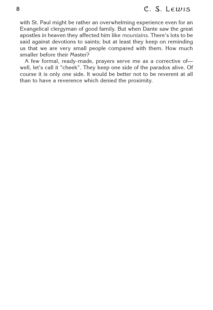with St. Paul might be rather an overwhelming experience even for an Evangelical clergyman of good family. But when Dante saw the great apostles in heaven they affected him like *mountains*. There's lots to be said against devotions to saints; but at least they keep on reminding us that we are very small people compared with them. How much smaller before their Master?

A few formal, ready-made, prayers serve me as a corrective of well, let's call it "cheek". They keep one side of the paradox alive. Of course it is only one side. It would be better not to be reverent at all than to have a reverence which denied the proximity.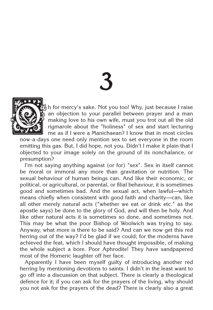

<span id="page-14-0"></span>Oh for mercy's sake. Not you too! Why, just because I raise<br>San objection to your parallel between prayer and a man making love to his own wife, must you trot out all the old<br>rigmarole about the "holiness" of sex and start an objection to your parallel between prayer and a man making love to his own wife, must you trot out all the old rigmarole about the "holiness" of sex and start lecturing me as if I were a Manichaean? I know that in most circles

now-a-days one need only mention sex to set everyone in the room emitting this gas. But, I did hope, not you. Didn't I make it plain that I objected to your image solely on the ground of its nonchalance, or presumption?

I'm not saying anything against (or for) "sex". Sex in itself cannot be moral or immoral any more than gravitation or nutrition. The sexual behaviour of human beings can. And like their economic, or political, or agricultural, or parental, or filial behaviour, it is sometimes good and sometimes bad. And the sexual act, when lawful—which means chiefly when consistent with good faith and charity—can, like all other merely natural acts ("whether we eat or drink etc." as the apostle says) be done to the glory of God, and will then be holy. And like other natural acts it is sometimes so done, and sometimes not. This may be what the poor Bishop of Woolwich was trying to say. Anyway, what more is there to be said? And can we now get this red herring out of the way? I'd be glad if we could; for the moderns have achieved the feat, which I should have thought impossible, of making the whole subject a bore. Poor Aphrodite! They have sandpapered most of the Homeric laughter off her face.

Apparently I have been myself guilty of introducing another red herring by mentioning devotions to saints. I didn't in the least want to go off into a discussion on that subject. There is clearly a theological defence for it; if you can ask for the prayers of the living, why should you not ask for the prayers of the dead? There is clearly also a great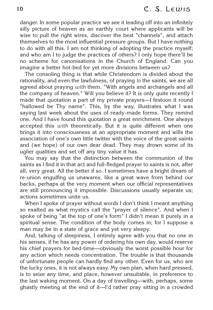danger. In some popular practice we see it leading off into an infinitely silly picture of heaven as an earthly court where applicants will be wise to pull the right wires, discover the best "channels", and attach themselves to the most influential pressure groups. But I have nothing to do with all this. I am not thinking of adopting the practice myself; and who am I to judge the practices of others? I only hope there'll be no scheme for canonisations in the Church of England. Can you imagine a better hot-bed for yet more divisions between us?

The consoling thing is that while Christendom is divided about the rationality, and even the lawfulness, of praying *to* the saints, we are all agreed about praying *with* them. "With angels and archangels and all the company of heaven." Will you believe it? It is only quite recently I made that quotation a part of my private prayers—I festoon it round "hallowed be Thy name". This, by the way, illustrates what I was saying last week about the uses of ready-made forms. They remind one. And I have found this quotation a great enrichment. One always accepted this *with* theoretically. But it is quite different when one brings it into consciousness at an appropriate moment and wills the association of one's own little twitter with the voice of the great saints and (we hope) of our own dear dead. They may drown some of its uglier qualities and set off any tiny value it has.

You may say that the distinction between the communion of the saints as I find it in that act and full-fledged prayer to saints is not, after all, very great. All the better if so. I sometimes have a bright dream of re-union engulfing us unawares, like a great wave from behind our backs, perhaps at the very moment when our official representatives are still pronouncing it impossible. Discussions usually separate us; actions sometimes unite us.

When I spoke of prayer without words I don't think I meant anything so exalted as what mystics call the "prayer of silence". And when I spoke of being "at the top of one's form" I didn't mean it purely in a spiritual sense. The condition of the body comes in; for I suppose a man may be in a state of grace and yet very sleepy.

And, talking of sleepiness, I entirely agree with you that no one in his senses, if he has any power of ordering his own day, would reserve his chief prayers for bed-time—obviously the worst possible hour for any action which needs concentration. The trouble is that thousands of unfortunate people can hardly find any other. Even for us, who are the lucky ones, it is not always easy. My own plan, when hard pressed, is to seize any time, and place, however unsuitable, in preference to the last waking moment. On a day of travelling—with, perhaps, some ghastly meeting at the end of it—I'd rather pray sitting in a crowded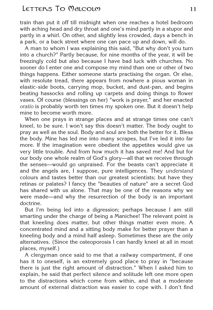#### letters to malcolm **11**

train than put it off till midnight when one reaches a hotel bedroom with aching head and dry throat and one's mind partly in a stupor and partly in a whirl. On other, and slightly less crowded, days a bench in a park, or a back street where one can pace up and down, will do.

A man to whom I was explaining this said, "But why don't you turn into a church?" Partly because, for nine months of the year, it will be freezingly cold but also because I have bad luck with churches. No sooner do I enter one and compose my mind than one or other of two things happens. Either someone starts practising the organ. Or else, with resolute tread, there appears from nowhere a pious woman in elastic-side boots, carrying mop, bucket, and dust-pan, and begins beating hassocks and rolling up carpets and doing things to flower vases. Of course (blessings on her) "work is prayer," and her enacted *oratio* is probably worth ten times my spoken one. But it doesn't help mine to become worth more.

When one prays in strange places and at strange times one can't kneel, to be sure. I won't say this doesn't matter. The body ought to pray as well as the soul. Body and soul are both the better for it. Bless the body. Mine has led me into many scrapes, but I've led it into far more. If the imagination were obedient the appetites would give us very little trouble. And from how much it has saved me! And but for our body one whole realm of God's glory—all that we receive through the senses—would go unpraised. For the beasts can't appreciate it and the angels are, I suppose, pure intelligences. They *understand* colours and tastes better than our greatest scientists; but have they retinas or palates? I fancy the "beauties of nature" are a secret God has shared with us alone. That may be one of the reasons why we were made—and why the resurrection of the body is an important doctrine.

But I'm being led into a digression; perhaps because I am still smarting under the charge of being a Manichee! The relevant point is that kneeling does matter, but other things matter even more. A concentrated mind and a sitting body make for better prayer than a kneeling body and a mind half asleep. Sometimes these are the only alternatives. (Since the osteoporosis I can hardly kneel at all in most places, myself.)

A clergyman once said to me that a railway compartment, if one has it to oneself, is an extremely good place to pray in "because there is just the right amount of distraction." When I asked him to explain, he said that perfect silence and solitude left one more open to the distractions which come from within, and that a moderate amount of external distraction was easier to cope with. I don't find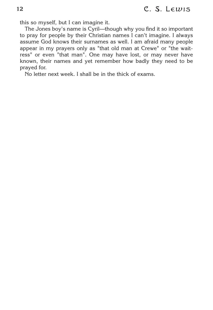this so myself, but I can imagine it.

The Jones boy's name is Cyril—though why you find it so important to pray for people by their Christian names I can't imagine. I always assume God knows their surnames as well. I am afraid many people appear in my prayers only as "that old man at Crewe" or "the waitress" or even "that man". One may have lost, or may never have known, their names and yet remember how badly they need to be prayed for.

No letter next week. I shall be in the thick of exams.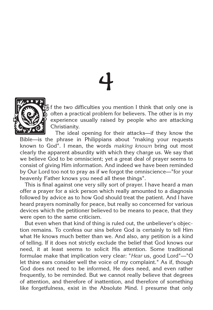

<span id="page-18-0"></span>Of the two difficulties you mention I think that only one is<br>often a practical problem for believers. The other is in my<br>experience usually raised by people who are attacking<br>Christianity.<br>The ideal opening for their attac often a practical problem for believers. The other is in my experience usually raised by people who are attacking Christianity.

The ideal opening for their attacks—if they know the Bible—is the phrase in Philippians about "making your requests known to God". I mean, the words *making known* bring out most clearly the apparent absurdity with which they charge us. We say that we believe God to be omniscient; yet a great deal of prayer seems to consist of giving Him information. And indeed we have been reminded by Our Lord too not to pray as if we forgot the omniscience—"for your heavenly Father knows you need all these things".

This is final against one very silly sort of prayer. I have heard a man offer a prayer for a sick person which really amounted to a diagnosis followed by advice as to how God should treat the patient. And I have heard prayers nominally for peace, but really so concerned for various devices which the petitioner believed to be means to peace, that they were open to the same criticism.

But even when that kind of thing is ruled out, the unbeliever's objection remains. To confess our sins before God is certainly to tell Him what He knows much better than we. And also, any petition is a kind of telling. If it does not strictly exclude the belief that God knows our need, it at least seems to solicit His attention. Some traditional formulae make that implication very clear: "*Hear* us, good Lord"—"O let thine ears consider well the voice of my complaint." As if, though God does not need to be informed, He does need, and even rather frequently, to be reminded. But we cannot really believe that degrees of attention, and therefore of inattention, and therefore of something like forgetfulness, exist in the Absolute Mind. I presume that only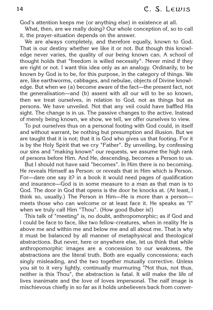God's attention keeps me (or anything else) in existence at all.

What, then, are we really doing? Our whole conception of, so to call it, the prayer-situation depends on the answer.

We are always completely, and therefore equally, known to God. That is our destiny whether we like it or not. But though this knowledge never varies, the quality of our being known can. A school of thought holds that "freedom is willed necessity". Never mind if they are right or not. I want this idea only as an analogy. Ordinarily, to be known by God is to be, for this purpose, in the category of things. We are, like earthworms, cabbages, and nebulae, objects of Divine knowledge. But when we (a) become aware of the fact—the present fact, not the generalisation—and (b) assent with all our will to be so known, then we treat ourselves, in relation to God, not as things but as persons. We have unveiled. Not that any veil could have baffled His sight. The change is in us. The passive changes to the active. Instead of merely being known, we show, we tell, we offer ourselves to view.

To put ourselves thus on a personal footing with God could, in itself and without warrant, be nothing but presumption and illusion. But we are taught that it is not; that it is God who gives us that footing. For it is by the Holy Spirit that we cry "Father". By unveiling, by confessing our sins and "making known" our requests, we assume the high rank of persons before Him. And He, descending, becomes a Person to us.

But I should not have said "becomes". In Him there is no becoming. He reveals Himself as Person: or reveals that in Him which is Person. For—dare one say it? in a book it would need pages of qualification and insurance—God is in some measure to a man as that man is to God. The door in God that opens is the door he knocks at. (At least, I think so, usually.) The Person in Him—He is more than a person meets those who can welcome or at least face it. He speaks as "I" when we truly call Him "Thou". (How good Buber is!)

This talk of "meeting" is, no doubt, anthropomorphic; as if God and I could be face to face, like two fellow-creatures, when in reality He is above me and within me and below me and all about me. That is why it must be balanced by all manner of metaphysical and theological abstractions. But never, here or anywhere else, let us think that while anthropomorphic images are a concession to our weakness, the abstractions are the literal truth. Both are equally concessions; each singly misleading, and the two together mutually corrective. Unless you sit to it very lightly, continually murmuring "Not thus, not thus, neither is this Thou", the abstraction is fatal. It will make the life of lives inanimate and the love of loves impersonal. The naïf image is mischievous chiefly in so far as it holds unbelievers back from conver-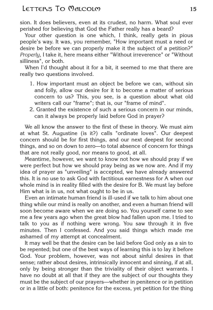#### letters to malcolm **15**

sion. It does believers, even at its crudest, no harm. What soul ever perished for believing that God the Father really has a beard?

Your other question is one which, I think, really gets in pious people's way. It was, you remember, "How important must a need or desire be before we can properly make it the subject of a petition?" *Properly*, I take it, here means either "Without irreverence" or "Without silliness", or both.

When I'd thought about it for a bit, it seemed to me that there are really two questions involved.

- 1. How important must an object be before we can, without sin and folly, allow our desire for it to become a matter of serious concern to us? This, you see, is a question about what old writers call our "frame"; that is, our "frame of mind".
- 2. Granted the existence of such a serious concern in our minds, can it always be properly laid before God in prayer?

We all know the answer to the first of these in theory. We must aim at what St. Augustine (is it?) calls "ordinate loves". Our deepest concern should be for first things, and our next deepest for second things, and so on down to zero—to total absence of concern for things that are not really good, nor means to good, at all.

Meantime, however, we want to know not how we should pray if we were perfect but how we should pray being as we now are. And if my idea of prayer as "unveiling" is accepted, we have already answered this. It is no use to ask God with factitious earnestness for A when our whole mind is in reality filled with the desire for B. We must lay before Him what is in us, not what ought to be in us.

Even an intimate human friend is ill-used if we talk to him about one thing while our mind is really on another, and even a human friend will soon become aware when we are doing so. You yourself came to see me a few years ago when the great blow had fallen upon me. I tried to talk to you as if nothing were wrong. You saw through it in five minutes. Then I confessed. And you said things which made me ashamed of my attempt at concealment.

It may well be that the desire can be laid before God only as a sin to be repented; but one of the best ways of learning this is to lay it before God. Your problem, however, was not about sinful desires in that sense; rather about desires, intrinsically innocent and sinning, if at all, only by being stronger than the triviality of their object warrants. I have no doubt at all that if they are the subject of our thoughts they must be the subject of our prayers—whether in penitence or in petition or in a little of both: penitence for the excess, yet petition for the thing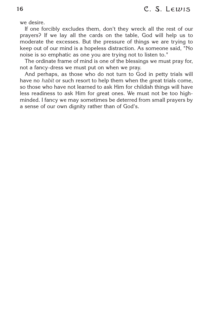we desire.

If one forcibly excludes them, don't they wreck all the rest of our prayers? If we lay all the cards on the table, God will help us to moderate the excesses. But the pressure of things we are trying to keep out of our mind is a hopeless distraction. As someone said, "No noise is so emphatic as one you are trying not to listen to."

The ordinate frame of mind is one of the blessings we must pray for, not a fancy-dress we must put on when we pray.

And perhaps, as those who do not turn to God in petty trials will have no *habit* or such resort to help them when the great trials come, so those who have not learned to ask Him for childish things will have less readiness to ask Him for great ones. We must not be too highminded. I fancy we may sometimes be deterred from small prayers by a sense of our own dignity rather than of God's.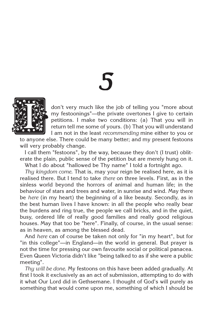<span id="page-22-0"></span>

don't very much like the job of telling you "more about my festoonings"—the private overtones I give to certain petitions. I make two conditions: (a) That you will in return tell me some of yours. (b) That you will understand I am not in the least *recommending* mine either to you or

to anyone else. There could be many better; and my present festoons will very probably change.

I call them "festoons", by the way, because they don't (I trust) obliterate the plain, public sense of the petition but are merely hung on it. What I do about "hallowed be Thy name" I told a fortnight ago.

*Thy kingdom come*. That is, may your reign be realised here, as it is realised there. But I tend to take *there* on three levels. First, as in the sinless world beyond the horrors of animal and human life; in the behaviour of stars and trees and water, in sunrise and wind. May there be *here* (in my heart) the beginning of a like beauty. Secondly, as in the best human lives I have known: in all the people who really bear the burdens and ring true, the people we call bricks, and in the quiet, busy, ordered life of really good families and really good religious houses. May that too be "here". Finally, of course, in the usual sense: as in heaven, as among the blessed dead.

And *here* can of course be taken not only for "in my heart", but for "in this college"—in England—in the world in general. But prayer is not the time for pressing our own favourite social or political panacea. Even Queen Victoria didn't like "being talked to as if she were a public meeting".

*Thy will be done*. My festoons on this have been added gradually. At first I took it exclusively as an act of submission, attempting to do with it what Our Lord did in Gethsemane. I thought of God's will purely as something that would come upon me, something of which I should be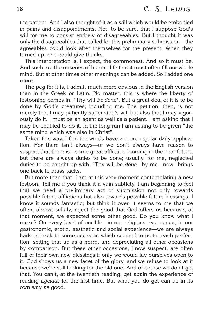the patient. And I also thought of it as a will which would be embodied in pains and disappointments. Not, to be sure, that I suppose God's will for me to consist entirely of disagreeables. But I thought it was only the disagreeables that called for this preliminary submission—the agreeables could look after themselves for the present. When they turned up, one could give thanks.

This interpretation is, I expect, the commonest. And so it must be. And such are the miseries of human life that it must often fill our whole mind. But at other times other meanings can be added. So I added one more.

The peg for it is, I admit, much more obvious in the English version than in the Greek or Latin. No matter: this is where the liberty of festooning comes in. "Thy will *be done*". But a great deal of it is to be done by God's creatures; including me. The petition, then, is not merely that I may patiently suffer God's will but also that I may vigorously do it. I must be an agent as well as a patient. I am asking that I may be enabled to do it. In the long run I am asking to be given "the same mind which was also in Christ".

Taken this way, I find the words have a more regular daily application. For there isn't always—or we don't always have reason to suspect that there is—some great affliction looming in the near future, but there are always duties to be done; usually, for me, neglected duties to be caught up with. "Thy will be *done*—by me—now" brings one back to brass tacks.

But more than that, I am at this very moment contemplating a new festoon. Tell me if you think it a vain subtlety. I am beginning to feel that we need a preliminary act of submission not only towards possible future afflictions but also towards possible future blessings. I know it sounds fantastic; but think it over. It seems to me that we often, almost sulkily, reject the good that God offers us because, at that moment, we expected some other good. Do you know what I mean? On every level of our life—in our religious experience, in our gastronomic, erotic, aesthetic and social experience—we are always harking back to some occasion which seemed to us to reach perfection, setting that up as a norm, and depreciating all other occasions by comparison. But these other occasions, I now suspect, are often full of their own new blessings if only we would lay ourselves open to it. God shows us a new facet of the glory, and we refuse to look at it because we're still looking for the old one. And of course we don't get that. You can't, at the twentieth reading, get again the experience of reading *Lycidas* for the first time. But what you do get can be in its own way as good.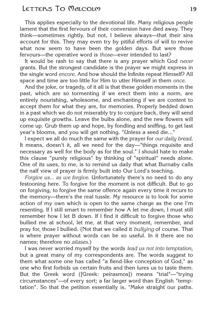#### letters to malcolm **19**

This applies especially to the devotional life. Many religious people lament that the first fervours of their conversion have died away. They think—sometimes rightly, but not, I believe always—that their sins account for this. They may even try by pitiful efforts of will to revive what now seem to have been the golden days. But were those fervours—the operative word is *those*—ever intended to last?

It would be rash to say that there is any prayer which God *never* grants. But the strongest candidate is the prayer we might express in the single word *encore*. And how should the Infinite repeat Himself? All space and time are too little for Him to utter Himself in them *once*.

And the joke, or tragedy, of it all is that these golden moments in the past, which are so tormenting if we erect them into a norm, are entirely nourishing, wholesome, and enchanting if we are content to accept them for what they are, for memories. Properly bedded down in a past which we do not miserably try to conjure back, they will send up exquisite growths. Leave the bulbs alone, and the new flowers will come up. Grub them up and hope, by fondling and sniffing, to get last year's blooms, and you will get nothing. "Unless a seed die..."

I expect we all do much the same with the prayer for *our daily bread*. It means, doesn't it, all we need for the day—"things requisite and necessary as well for the body as for the soul." I should hate to make this clause "purely religious" by thinking of "spiritual" needs alone. One of its uses, to me, is to remind us daily that what Burnaby calls the naïf view of prayer is firmly built into Our Lord's teaching.

*Forgive us... as we forgive*. Unfortunately there's no need to do any festooning here. To forgive for the moment is not difficult. But to go on forgiving, to forgive the same offence again every time it recurs to the memory—there's the real tussle. My resource is to look for some action of my own which is open to the same charge as the one I'm resenting. If I still smart to remember how A let me down, I must still remember how I let B down. If I find it difficult to forgive those who bullied me at school, let me, at that very moment, remember, and pray for, those I bullied. (Not that we called it *bullying* of course. That is where prayer without words can be so useful. In it there are no names; therefore no *aliases*.)

I was never worried myself by the words *lead us not into temptation*, but a great many of my correspondents are. The words suggest to them what some one has called "a fiend-like conception of God," as one who first forbids us certain fruits and then lures us to taste them. But the Greek word ([Greek: peirasmos]) means "trial"—"trying circumstances"—of every sort; a far larger word than English "temptation". So that the petition essentially is, "Make straight our paths.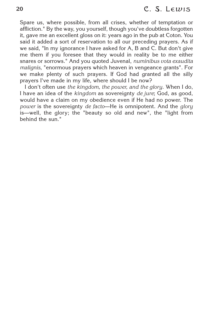Spare us, where possible, from all crises, whether of temptation or affliction." By the way, you yourself, though you've doubtless forgotten it, gave me an excellent gloss on it: years ago in the pub at Coton. You said it added a sort of reservation to all our preceding prayers. As if we said, "In my ignorance I have asked for A, B and C. But don't give me them if you foresee that they would in reality be to me either snares or sorrows." And you quoted Juvenal, *numinibus vota exaudita malignis*, "enormous prayers which heaven in vengeance grants". For we make plenty of such prayers. If God had granted all the silly prayers I've made in my life, where should I be now?

I don't often use *the kingdom, the power, and the glory*. When I do, I have an idea of the *kingdom* as sovereignty *de jure*; God, as good, would have a claim on my obedience even if He had no power. The *power* is the sovereignty *de facto*—He is omnipotent. And the *glory* is—well, the glory; the "beauty so old and new", the "light from behind the sun."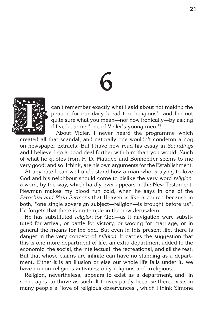

<span id="page-26-0"></span>Can't remember exactly what I said about not making the<br>
petition for our daily bread too "religious", and I'm not<br>
quite sure what you mean—nor how ironically—by asking<br>
if I've become "one of Vidler's young men."!<br>
About petition for our daily bread too "religious", and I'm not quite sure what you mean—nor how ironically—by asking if I've become "one of Vidler's young men."!

About Vidler. I never heard the programme which created all that scandal, and naturally one wouldn't condemn a dog on newspaper extracts. But I have now read his essay in *Soundings* and I believe I go a good deal further with him than you would. Much of what he quotes from F. D. Maurice and Bonhoeffer seems to me very good; and so, I think, are his own arguments for the Establishment.

At any rate I can well understand how a man who is trying to love God and his neighbour should come to dislike the very word *religion*; a word, by the way, which hardly ever appears in the New Testament. Newman makes my blood run cold, when he says in one of the *Parochial and Plain Sermons* that Heaven is like a church because in both, "one single sovereign subject—religion—is brought before us". He forgets that there is no temple in the new Jerusalem.

He has substituted *religion* for God—as if navigation were substituted for arrival, or battle for victory, or wooing for marriage, or in general the means for the end. But even in this present life, there is danger in the very concept of *religion*. It carries the suggestion that this is one more department of life, an extra department added to the economic, the social, the intellectual, the recreational, and all the rest. But that whose claims are infinite can have no standing as a department. Either it is an illusion or else our whole life falls under it. We have no non-religious activities; only religious and irreligious.

Religion, nevertheless, appears to exist as a department, and, in some ages, to thrive as such. It thrives partly because there exists in many people a "love of religious observances", which I think Simone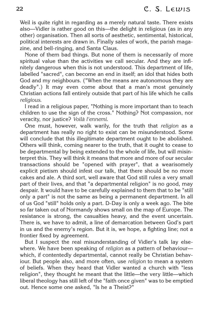Weil is quite right in regarding as a merely natural taste. There exists also—Vidler is rather good on this—the delight in religious (as in any other) organisation. Then all sorts of aesthetic, sentimental, historical, political interests are drawn in. Finally sales of work, the parish magazine, and bell-ringing, and Santa Claus.

None of them bad things. But none of them is necessarily of more spiritual value than the activities we call secular. And they are infinitely dangerous when this is not understood. This department of life, labelled "sacred", can become an end in itself; an idol that hides both God and my neighbours. ("When the means are autonomous they are deadly".) It may even come about that a man's most genuinely Christian actions fall entirely outside that part of his life which he calls *religious*.

I read in a religious paper, "Nothing is more important than to teach children to use the sign of the cross." Nothing? Not compassion, nor veracity, nor justice? *Voilà l'ennemi*.

One must, however, walk warily, for the truth that *religion* as a department has really no right to exist can be misunderstood. Some will conclude that this illegitimate department ought to be abolished. Others will think, coming nearer to the truth, that it ought to cease to be departmental by being extended to the whole of life, but will misinterpret this. They will think it means that more and more of our secular transactions should be "opened with prayer", that a wearisomely explicit pietism should infest our talk, that there should be no more cakes and ale. A third sort, well aware that God still rules a very small part of their lives, and that "a departmental religion" is no good, may despair. It would have to be carefully explained to them that to be "still only a part" is not the same as being a permanent department. In all of us God "still" holds only a part. D-Day is only a week ago. The bite so far taken out of Normandy shows small on the map of Europe. The resistance is strong, the casualties heavy, and the event uncertain. There is, we have to admit, a line of demarcation between God's part in us and the enemy's region. But it is, we hope, a fighting line; not a frontier fixed by agreement.

But I suspect the real misunderstanding of Vidler's talk lay elsewhere. We have been speaking of *religion* as a pattern of behaviour which, if contentedly departmental, cannot really be Christian behaviour. But people also, and more often, use *religion* to mean a system of beliefs. When they heard that Vidler wanted a church with "less religion", they thought he meant that the little—the very little—which liberal theology has still left of the "faith once given" was to be emptied out. Hence some one asked, "Is he a Theist?"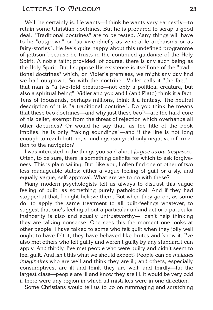#### letters to malcolm **23**

Well, he certainly is. He wants—I think he wants very earnestly—to retain some Christian doctrines. But he is prepared to scrap a good deal. "Traditional doctrines" are to be tested. Many things will have to be "outgrown" or "survive chiefly as venerable archaisms or as fairy-stories". He feels quite happy about this undefined programme of jettison because he trusts in the continued guidance of the Holy Spirit. A noble faith; provided, of course, there is any such being as the Holy Spirit. But I suppose His existence is itself one of the "traditional doctrines" which, on Vidler's premises, we might any day find we had outgrown. So with the doctrine—Vidler calls it "the fact" that man is "a two-fold creature—not only a political creature, but also a spiritual being". Vidler and you and I (and Plato) think it a fact. Tens of thousands, perhaps millions, think it a fantasy. The neutral description of it is "a traditional doctrine". Do you think he means that these two doctrines—and why just these two?—are the hard core of his belief, exempt from the threat of rejection which overhangs all other doctrines? Or would he say that, as the title of the book implies, he is only "taking soundings"—and if the line is not long enough to reach bottom, soundings can yield only negative information to the navigator?

I was interested in the things you said about *forgive us our trespasses*. Often, to be sure, there is something definite for which to ask forgiveness. This is plain sailing. But, like you, I often find one or other of two less manageable states: either a vague feeling of guilt or a sly, and equally vague, self-approval. What are we to do with these?

Many modern psychologists tell us always to distrust this vague feeling of guilt, as something purely pathological. And if they had stopped at that, I might believe them. But when they go on, as some do, to apply the same treatment to all guilt-feelings whatever, to suggest that one's feeling about a particular unkind act or a particular insincerity is also and equally untrustworthy—I can't help thinking they are talking nonsense. One sees this the moment one looks at other people. I have talked to some who felt guilt when they jolly well ought to have felt it; they have behaved like brutes and know it. I've also met others who felt guilty and weren't guilty by any standard I can apply. And thirdly, I've met people who were guilty and didn't seem to feel guilt. And isn't this what we should expect? People can be *malades imaginaires* who are well and think they are ill; and others, especially consumptives, are ill and think they are well; and thirdly—far the largest class—people are ill and know they are ill. It would be very odd if there were any region in which all mistakes were in one direction.

Some Christians would tell us to go on rummaging and scratching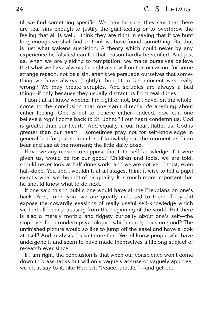till we find something specific. We may be sure, they say, that there are real sins enough to justify the guilt-feeling or to overthrow the feeling that all is well. I think they are right in saying that if we hunt long enough we shall find, or think we have found, something. But that is just what wakens suspicion. A theory which could never by any experience be falsified can for that reason hardly be verified. And just as, when we are yielding to temptation, we make ourselves believe that what we have always thought a sin will on this occasion, for some strange reason, not be a sin, shan't we persuade ourselves that something we have always (rightly) thought to be innocent was really wrong? We may create scruples. And scruples are always a bad thing—if only because they usually distract us from real duties.

I don't at all know whether I'm right or not, but I have, on the whole, come to the conclusion that one can't directly *do* anything about either feeling. One is not to believe either—indeed, how can one believe a fog? I come back to St. John: "if our heart condemn us, God is greater than our heart." And equally, if our heart flatter us, God is greater than our heart. I sometimes pray not for self-knowledge in general but for just so much self-knowledge at the moment as I can bear and use at the moment; the little daily dose.

Have we any reason to suppose that total self-knowledge, if it were given us, would be for our good? Children and fools, we are told, should never look at half-done work; and we are not yet, I trust, even half-done. You and I wouldn't, at all stages, think it wise to tell a pupil exactly what we thought of his quality. It is much more important that he should know what to do next.

If one said this in public one would have all the Freudians on one's back. And, mind you, we are greatly indebted to them. They did expose the cowardly evasions of really useful self-knowledge which we had all been practising from the beginning of the world. But there is also a merely morbid and fidgety curiosity about one's self—the slop-over from modern psychology—which surely does no good? The unfinished picture would so like to jump off the easel and have a look at itself! And analysis doesn't cure that. We all know people who have undergone it and seem to have made themselves a lifelong subject of research ever since.

If I am right, the conclusion is that when our conscience won't come down to brass-tacks but will only vaguely accuse or vaguely approve, we must say to it, like Herbert, "Peace, prattler"—and get on.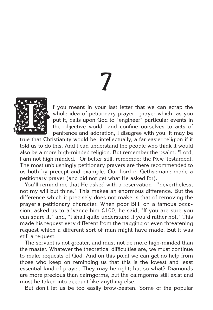

<span id="page-30-0"></span>If you meant in your last letter that we can scrap the whole idea of petitionary prayer—prayer which, as you put it, calls upon God to "engineer" particular events in the objective world—and confine ourselves to acts of p whole idea of petitionary prayer—prayer which, as you put it, calls upon God to "engineer" particular events in the objective world—and confine ourselves to acts of

true that Christianity would be, intellectually, a far easier religion if it told us to do this. And I can understand the people who think it would also be a more high-minded religion. But remember the psalm: "Lord, I am not high minded." Or better still, remember the New Testament. The most unblushingly petitionary prayers are there recommended to us both by precept and example. Our Lord in Gethsemane made a petitionary prayer (and did not get what He asked for).

You'll remind me that He asked with a reservation—"nevertheless, not my will but thine." This makes an enormous difference. But the difference which it precisely does not make is that of removing the prayer's petitionary character. When poor Bill, on a famous occasion, asked us to advance him £100, he said, "If you are sure you can spare it," and, "I shall quite understand if you'd rather not." This made his request very different from the nagging or even threatening request which a different sort of man might have made. But it was still a request.

The servant is not greater, and must not be more high-minded than the master. Whatever the theoretical difficulties are, we must continue to make requests of God. And on this point we can get no help from those who keep on reminding us that this is the lowest and least essential kind of prayer. They may be right; but so what? Diamonds are more precious than cairngorms, but the cairngorms still exist and must be taken into account like anything else.

But don't let us be too easily brow-beaten. Some of the popular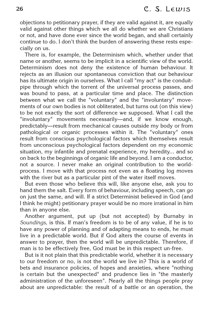objections to petitionary prayer, if they are valid against it, are equally valid against other things which we all do whether we are Christians or not, and have done ever since the world began, and shall certainly continue to do. I don't think the burden of answering these rests especially on us.

There is, for example, the Determinism which, whether under that name or another, seems to be implicit in a scientific view of the world. Determinism does not deny the existence of human behaviour. It rejects as an illusion our spontaneous conviction that our behaviour has its ultimate origin in ourselves. What I call "my act" is the conduitpipe through which the torrent of the universal process passes, and was bound to pass, at a particular time and place. The distinction between what we call the "voluntary" and the "involuntary" movements of our own bodies is not obliterated, but turns out (on this view) to be not exactly the sort of difference we supposed. What I call the "involuntary" movements necessarily—and, if we know enough, predictably—result from mechanical causes outside my body or from pathological or organic processes within it. The "voluntary" ones result from conscious psychological factors which themselves result from unconscious psychological factors dependent on my economic situation, my infantile and prenatal experience, my heredity... and so on back to the beginnings of organic life and beyond. I am a conductor, not a source. I never make an original contribution to the worldprocess. I move with that process not even as a floating log moves with the river but as a particular pint of the water itself moves.

But even those who believe this will, like anyone else, ask you to hand them the salt. Every form of behaviour, including speech, can go on just the same, and will. If a strict Determinist believed in God (and I think he might) petitionary prayer would be no more irrational in him than in anyone else.

Another argument, put up (but not accepted) by Burnaby in *Soundings*, is this. If man's freedom is to be of any value, if he is to have any power of planning and of adapting means to ends, he must live in a predictable world. But if God alters the course of events in answer to prayer, then the world will be unpredictable. Therefore, if man is to be effectively free, God must be in this respect un-free.

But is it not plain that this predictable world, whether it is necessary to our freedom or no, is not the world we live in? This is a world of bets and insurance policies, of hopes and anxieties, where "nothing is certain but the unexpected" and prudence lies in "the masterly administration of the unforeseen". Nearly all the things people pray about are unpredictable: the result of a battle or an operation, the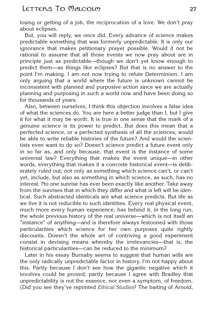#### letters to malcolm **27**

losing or getting of a job, the reciprocation of a love. We don't pray about eclipses.

But, you will reply, we once did. Every advance of science makes predictable something that was formerly unpredictable. It is only our ignorance that makes petitionary prayer possible. Would it not be rational to assume that all those events we now pray about are in principle just as predictable—though we don't yet know enough to predict them—as things like eclipses? But that is no answer to the point I'm making. I am not now trying to refute Determinism. I am only arguing that a world where the future is unknown cannot be inconsistent with planned and purposive action since we are actually planning and purposing in such a world now and have been doing so for thousands of years.

Also, between ourselves, I think this objection involves a false idea of what the sciences do. You are here a better judge than I, but I give it for what it may be worth. It is true in one sense that the mark of a genuine science is its power to predict. But does this mean that a perfected science, or a perfected synthesis of all the sciences, would be able to write reliable histories of the future? And would the scientists even want to do so? Doesn't science predict a future event only in so far as, and only because, that event is the instance of some universal law? Everything that makes the event unique—in other words, everything that makes it a concrete historical event—is deliberately ruled out; not only as something which science can't, or can't yet, include, but also as something in which science, as such, has no interest. No one sunrise has ever been exactly like another. Take away from the sunrises that in which they differ and what is left will be identical. Such abstracted identicals are what science predicts. But life as we live it is not reducible to such identities. Every real physical event, much more every human experience, has behind it, in the long run, the whole previous history of the real universe—which is not itself an "instance" of anything—and is therefore always festooned with those particularities which science for her own purposes quite rightly discounts. Doesn't the whole art of contriving a good experiment consist in devising means whereby the irrelevancies—that is, the historical particularities—can be reduced to the minimum?

Later in his essay Burnaby seems to suggest that human wills are the only radically unpredictable factor in history. I'm not happy about this. Partly because I don't see how the gigantic negative which it involves could be proved; partly because I agree with Bradley that unpredictability is not the essence, nor even a symptom, of freedom. (Did you see they've reprinted *Ethical Studies*? The baiting of Arnold,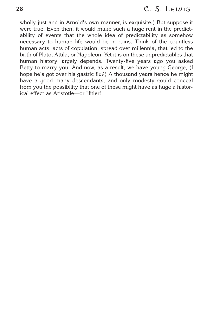wholly just and in Arnold's own manner, is exquisite.) But suppose it were true. Even then, it would make such a huge rent in the predictability of events that the whole idea of predictability as somehow necessary to human life would be in ruins. Think of the countless human acts, acts of copulation, spread over millennia, that led to the birth of Plato, Attila, or Napoleon. Yet it is on these unpredictables that human history largely depends. Twenty-five years ago you asked Betty to marry you. And now, as a result, we have young George, (I hope he's got over his gastric flu?) A thousand years hence he might have a good many descendants, and only modesty could conceal from you the possibility that one of these might have as huge a historical effect as Aristotle—or Hitler!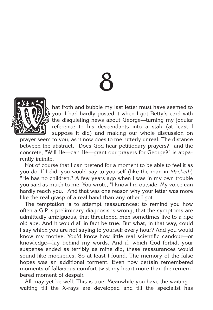<span id="page-34-0"></span>

WHAT hat froth and bubble my last letter must have seemed to<br>be you! I had hardly posted it when I got Betty's card with<br>the disquieting news about George—turning my jocular<br>reference to his descendants into a stab (at lea you! I had hardly posted it when I got Betty's card with the disquieting news about George—turning my jocular reference to his descendants into a stab (at least I suppose it did) and making our whole discussion on

prayer seem to you, as it now does to me, utterly unreal. The distance between the abstract, "Does God hear petitionary prayers?" and the concrete, "Will He—can He—grant our prayers for George?" is apparently infinite.

Not of course that I can pretend for a moment to be able to feel it as you do. If I did, you would say to yourself (like the man in *Macbeth*) "He has no children." A few years ago when I was in my own trouble you said as much to me. You wrote, "I know I'm outside. My voice can hardly reach you." And that was one reason why your letter was more like the real grasp of a real hand than any other I got.

The temptation is to attempt reassurances: to remind you how often a G.P.'s preliminary diagnosis is wrong, that the symptoms are admittedly ambiguous, that threatened men sometimes live to a ripe old age. And it would all in fact be true. But what, in that way, could I say which you are not saying to yourself every hour? And you would know my motive. You'd know how little real scientific candour—or knowledge—lay behind my words. And if, which God forbid, your suspense ended as terribly as mine did, these reassurances would sound like mockeries. So at least I found. The memory of the false hopes was an additional torment. Even now certain remembered moments of fallacious comfort twist my heart more than the remembered moment of despair.

All may yet be well. This is true. Meanwhile you have the waiting waiting till the X-rays are developed and till the specialist has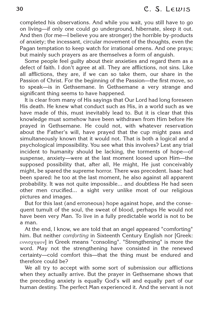completed his observations. And while you wait, you still have to go on living—if only one could go underground, hibernate, sleep it out. And then (for me—I believe you are stronger) the horrible by-products of anxiety; the incessant, circular movement of the thoughts, even the Pagan temptation to keep watch for irrational omens. And one prays; but mainly such prayers as are themselves a form of anguish.

Some people feel guilty about their anxieties and regard them as a defect of faith. I don't agree at all. They are afflictions, not sins. Like all afflictions, they are, if we can so take them, our share in the Passion of Christ. For the beginning of the Passion—the first move, so to speak—is in Gethsemane. In Gethsemane a very strange and significant thing seems to have happened.

It is clear from many of His sayings that Our Lord had long foreseen His death. He knew what conduct such as His, in a world such as we have made of this, must inevitably lead to. But it is clear that this knowledge must somehow have been withdrawn from Him before He prayed in Gethsemane. He could not, with whatever reservation about the Father's will, have prayed that the cup might pass and simultaneously known that it would not. That is both a logical and a psychological impossibility. You see what this involves? Lest any trial incident to humanity should be lacking, the torments of hope—of suspense, anxiety—were at the last moment loosed upon Him—the supposed possibility that, after all, He might, He just conceivably might, be spared the supreme horror. There was precedent. Isaac had been spared: he too at the last moment, he also against all apparent probability. It was not quite impossible... and doubtless He had seen other men crucified... a sight very unlike most of our religious pictures and images.

But for this last (and erroneous) hope against hope, and the consequent tumult of the soul, the sweat of blood, perhaps He would not have been very Man. To live in a fully predictable world is not to be a man.

At the end, I know, we are told that an angel appeared "comforting" him. But neither *comforting* in Sixteenth Century English nor [Greek: εννισχηψον] in Greek means "consoling". "Strengthening" is more the word. May not the strengthening have consisted in the renewed certainty—cold comfort this—that the thing must be endured and therefore could be?

We all try to accept with some sort of submission our afflictions when they actually arrive. But the prayer in Gethsemane shows that the preceding anxiety is equally God's will and equally part of our human destiny. The perfect Man experienced it. And the servant is not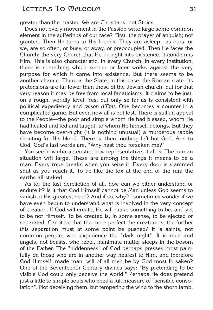greater than the master. We are Christians, not Stoics.

Does not every movement in the Passion write large some common element in the sufferings of our race? First, the prayer of anguish; not granted. Then He turns to His friends. They are asleep—as ours, or we, are so often, or busy, or away, or preoccupied. Then He faces the Church; the very Church that He brought into existence. It condemns Him. This is also characteristic. In every Church, in every institution, there is something which sooner or later works against the very purpose for which it came into existence. But there seems to be another chance. There is the State; in this case, the Roman state. Its pretensions are far lower than those of the Jewish church, but for that very reason it may be free from local fanaticisms. It claims to be just, on a rough, worldly level. Yes, but only so far as is consistent with political expediency and *raison d'État*. One becomes a counter in a complicated game. But even now all is not lost. There is still an appeal to the People—the poor and simple whom He had blessed, whom He had healed and fed and taught, to whom He himself belongs. But they have become over-night (it is nothing unusual) a murderous rabble shouting for His blood. There is, then, nothing left but God. And to God, God's last words are, "Why hast thou forsaken me?"

You see how characteristic, how representative, it all is. The human situation writ large. These are among the things it means to be a man. Every rope breaks when you seize it. Every door is slammed shut as you reach it. To be like the fox at the end of the run; the earths all staked.

As for the last dereliction of all, how can we either understand or endure it? Is it that God Himself cannot be Man unless God seems to vanish at His greatest need? And if so, why? I sometimes wonder if we have even begun to understand what is involved in the very concept of creation. If God will create, He will make something to be, and yet to be not Himself. To be created is, in some sense, to be ejected or separated. Can it be that the more perfect the creature is, the further this separation must at some point be pushed? It is saints, not common people, who experience the "dark night". It is men and angels, not beasts, who rebel. Inanimate matter sleeps in the bosom of the Father. The "hiddenness" of God perhaps presses most painfully on those who are in another way nearest to Him, and therefore God Himself, made man, will of all men be by God most forsaken? One of the Seventeenth Century divines says: "By pretending to be visible God could only deceive the world." Perhaps He does pretend just a little to simple souls who need a full measure of "sensible consolation". Not deceiving them, but tempering the wind to the shorn lamb.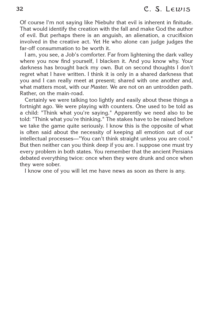### **32** C. S. L ewis

Of course I'm not saying like Niebuhr that evil is inherent in finitude. That would identify the creation with the fall and make God the author of evil. But perhaps there is an anguish, an alienation, a crucifixion involved in the creative act. Yet He who alone can judge judges the far-off consummation to be worth it.

I am, you see, a Job's comforter. Far from lightening the dark valley where you now find yourself, I blacken it. And you know why. Your darkness has brought back my own. But on second thoughts I don't regret what I have written. I think it is only in a shared darkness that you and I can really meet at present; shared with one another and, what matters most, with our Master. We are not on an untrodden path. Rather, on the main-road.

Certainly we were talking too lightly and easily about these things a fortnight ago. We were playing with counters. One used to be told as a child: "Think what you're saying." Apparently we need also to be told: "Think what you're thinking." The stakes have to be raised before we take the game quite seriously. I know this is the opposite of what is often said about the necessity of keeping all emotion out of our intellectual processes—"You can't think straight unless you are cool." But then neither can you think deep if you are. I suppose one must try every problem in both states. You remember that the ancient Persians debated everything twice: once when they were drunk and once when they were sober.

I know one of you will let me have news as soon as there is any.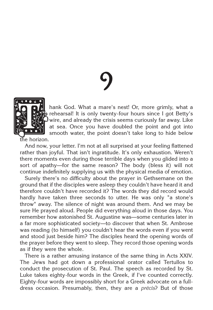

Thank God. What a mare's nest! Or, more grimly, what a **thank** God. What a mare's nest! Or, more grimly, what a **thank** of the state of the state of the crisis seems curiously far away. Like at sea. Once you have doubled t rehearsal! It is only twenty-four hours since I got Betty's wire, and already the crisis seems curiously far away. Like at sea. Once you have doubled the point and got into smooth water, the point doesn't take long to hide below

the horizon.

And now, your letter. I'm not at all surprised at your feeling flattened rather than joyful. That isn't ingratitude. It's only exhaustion. Weren't there moments even during those terrible days when you glided into a sort of apathy—for the same reason? The body (bless it) will not continue indefinitely supplying us with the physical media of emotion.

Surely there's no difficulty about the prayer in Gethsemane on the ground that if the disciples were asleep they couldn't have heard it and therefore couldn't have recorded it? The words they did record would hardly have taken three seconds to utter. He was only "a stone's throw" away. The silence of night was around them. And we may be sure He prayed aloud. People did everything aloud in those days. You remember how astonished St. Augustine was—some centuries later in a far more sophisticated society—to discover that when St. Ambrose was reading (to himself) you couldn't hear the words even if you went and stood just beside him? The disciples heard the opening words of the prayer before they went to sleep. They record those opening words as if they were the whole.

There is a rather amusing instance of the same thing in Acts XXIV. The Jews had got down a professional orator called Tertullos to conduct the prosecution of St. Paul. The speech as recorded by St. Luke takes eighty-four words in the Greek, if I've counted correctly. Eighty-four words are impossibly short for a Greek advocate on a fulldress occasion. Presumably, then, they are a *précis*? But of those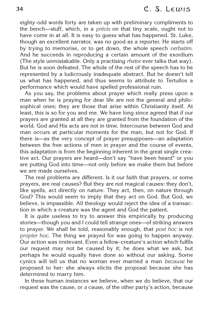eighty-odd words forty are taken up with preliminary compliments to the bench—stuff, which, in a *précis* on that tiny scale, ought not to have come in at all. It is easy to guess what has happened. St. Luke, though an excellent narrator, was no good as a reporter. He starts off by trying to memorise, or to get down, the whole speech *verbatim*. And he succeeds in reproducing a certain amount of the exordium (The style unmistakable. Only a practising *rhetor* ever talks that way). But he is soon defeated. The whole of the rest of the speech has to be represented by a ludicrously inadequate abstract. But he doesn't tell us what has happened, and thus seems to attribute to Tertullos a performance which would have spelled professional ruin.

As you say, the problems about prayer which really press upon a man when he is praying for dear life are not the general and philosophical ones; they are those that arise within Christianity itself. At least, this is so for you and me. We have long since agreed that if our prayers are granted at all they are granted from the foundation of the world. God and His acts are not in time. Intercourse between God and man occurs at particular moments for the man, but not for God. If there is—as the very concept of prayer presupposes—an adaptation between the free actions of men in prayer and the course of events, this adaptation is from the beginning inherent in the great single creative act. Our prayers are heard—don't say "have been heard" or you are putting God into time—not only before we make them but before we are made ourselves.

The real problems are different. Is it our faith that prayers, or some prayers, are real causes? But they are not magical causes: they don't, like spells, act directly on nature. They act, then, on nature through God? This would seem to imply that they act on God. But God, we believe, is impassible. All theology would reject the idea of a transaction in which a creature was the agent and God the patient.

It is quite useless to try to answer this empirically by producing stories—though you and I could tell strange ones—of striking answers to prayer. We shall be told, reasonably enough, that *post hoc* is not *propter hoc*. The thing we prayed for was going to happen anyway. Our action was irrelevant. Even a fellow-creature's action which fulfils our request may not be caused by it; he does what we ask, but perhaps he would equally have done so without our asking. Some cynics will tell us that no woman ever married a man *because* he proposed to her: she always elicits the proposal because she has determined to marry him.

In these human instances we believe, when we do believe, that our request was the cause, or *a* cause, of the other party's action, because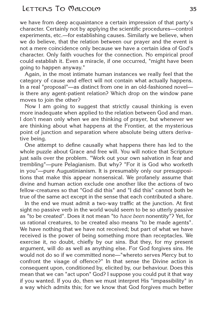we have from deep acquaintance a certain impression of that party's character. Certainly not by applying the scientific procedures—control experiments, etc.—for establishing causes. Similarly we believe, when we do believe, that the relation between our prayer and the event is not a mere coincidence only because we have a certain idea of God's character. Only faith vouches for the connection. No empirical proof could establish it. Even a miracle, if one occurred, "might have been going to happen anyway."

Again, in the most intimate human instances we really feel that the category of cause and effect will not contain what actually happens. In a real "proposal"—as distinct from one in an old-fashioned novel is there any agent-patient relation? Which drop on the window pane moves to join the other?

Now I am going to suggest that strictly causal thinking is even more inadequate when applied to the relation between God and man. I don't mean only when we are thinking of prayer, but whenever we are thinking about what happens at the Frontier, at the mysterious point of junction and separation where absolute being utters derivative being.

One attempt to define causally what happens there has led to the whole puzzle about Grace and free will. You will notice that Scripture just sails over the problem. "Work out your own salvation in fear and trembling"—pure Pelagianism. But why? "For it is God who worketh in you"—pure Augustinianism. It is presumably only our presuppositions that make this appear nonsensical. We profanely assume that divine and human action exclude one another like the actions of two fellow-creatures so that "God did this" and "I did this" cannot both be true of the same act except in the sense that each contributed a share.

In the end we must admit a two-way traffic at the junction. At first sight no passive verb in the world would seem to be so utterly passive as "to be created". Does it not mean "to *have been* nonentity"? Yet, for us rational creatures, to be created also means "to be made agents". We have nothing that we have not received; but part of what we have received is the power of being something more than receptacles. We exercise it, no doubt, chiefly by our sins. But they, for my present argument, will do as well as anything else. For God forgives sins. He would not do so if we committed none—"whereto serves Mercy but to confront the visage of offence?" In that sense the Divine action is consequent upon, conditioned by, elicited by, our behaviour. Does this mean that we can "act upon" God? I suppose you could put it that way if you wanted. If you do, then we must interpret His "impassibility" in a way which admits this; for we know that God forgives much better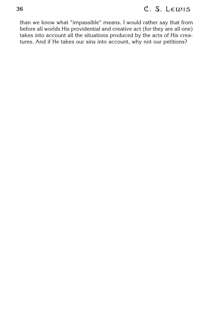### 36 **C. S. LEWIS**

than we know what "impassible" means. I would rather say that from before all worlds His providential and creative act (for they are all one) takes into account all the situations produced by the acts of His creatures. And if He takes our sins into account, why not our petitions?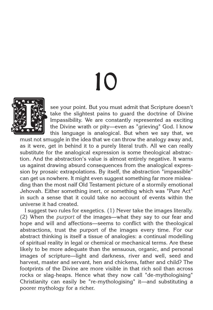

See your point. But you must admit that Scripture doesn't<br>discussion to grad the doctrine of Divine<br>Impassibility. We are constantly represented as exciting<br>the Divine wrath or pity—even as "grieving" God. I know<br>this lang take the slightest pains to guard the doctrine of Divine Impassibility. We are constantly represented as exciting the Divine wrath or pity—even as "grieving" God. I know this language is analogical. But when we say that, we

must not smuggle in the idea that we can throw the analogy away and, as it were, get in behind it to a purely literal truth. All we can really substitute for the analogical expression is some theological abstraction. And the abstraction's value is almost entirely negative. It warns us against drawing absurd consequences from the analogical expression by prosaic extrapolations. By itself, the abstraction "impassible" can get us nowhere. It might even suggest something far more misleading than the most naïf Old Testament picture of a stormily emotional Jehovah. Either something inert, or something which was "Pure Act" in such a sense that it could take no account of events within the universe it had created.

I suggest two rules for exegetics. (1) Never take the images literally. (2) When the *purport* of the images—what they say to our fear and hope and will and affections—seems to conflict with the theological abstractions, trust the purport of the images every time. For our abstract thinking is itself a tissue of analogies: a continual modelling of spiritual reality in legal or chemical or mechanical terms. Are these likely to be more adequate than the sensuous, organic, and personal images of scripture—light and darkness, river and well, seed and harvest, master and servant, hen and chickens, father and child? The footprints of the Divine are more visible in that rich soil than across rocks or slag-heaps. Hence what they now call "de-mythologising" Christianity can easily be "re-mythologising" it—and substituting a poorer mythology for a richer.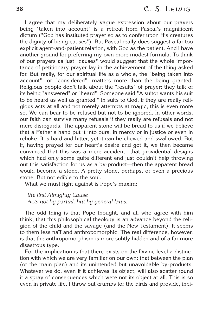I agree that my deliberately vague expression about our prayers being "taken into account" is a retreat from Pascal's magnificent dictum ("God has instituted prayer so as to confer upon His creatures the dignity of being causes"). But Pascal really does suggest a far too explicit agent-and-patient relation, with God as the patient. And I have another ground for preferring my own more modest formula. To think of our prayers as just "causes" would suggest that the whole importance of petitionary prayer lay in the achievement of the thing asked for. But really, for our spiritual life as a whole, the "being taken into account", or "considered", matters more than the being granted. Religious people don't talk about the "results" of prayer; they talk of its being "answered" or "heard". Someone said "A suitor wants his suit to be heard as well as granted." In suits to God, if they are really religious acts at all and not merely attempts at magic, this is even more so. We can bear to be refused but not to be ignored. In other words, our faith can survive many refusals if they really are refusals and not mere disregards. The apparent stone will be bread to us if we believe that a Father's hand put it into ours, in mercy or in justice or even in rebuke. It is hard and bitter, yet it can be chewed and swallowed. But if, having prayed for our heart's desire and got it, we then became convinced that this was a mere accident—that providential designs which had only some quite different end just couldn't help throwing out this satisfaction for us as a by-product—then the apparent bread would become a stone. A pretty stone, perhaps, or even a precious stone. But not edible to the soul.

What we must fight against is Pope's maxim:

*the first Almighty Cause Acts not by partial, but by general laws.*

The odd thing is that Pope thought, and all who agree with him think, that this philosophical theology is an advance beyond the religion of the child and the savage (and the New Testament). It seems to them less naïf and anthropomorphic. The real difference, however, is that the anthropomorphism is more subtly hidden and of a far more disastrous type.

For the implication is that there exists on the Divine level a distinction with which we are very familiar on our own: that between the plan (or the main plan) and its unintended but unavoidable by-products. Whatever we do, even if it achieves its object, will also scatter round it a spray of consequences which were not its object at all. This is so even in private life. I throw out crumbs for the birds and provide, inci-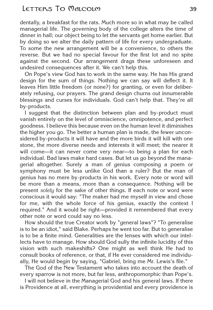dentally, a breakfast for the rats. Much more so in what may be called managerial life. The governing body of the college alters the time of dinner in hall; our object being to let the servants get home earlier. But by doing so we alter the daily pattern of life for every undergraduate. To some the new arrangement will be a convenience, to others the reverse. But we had no special favour for the first lot and no spite against the second. Our arrangement drags these unforeseen and undesired consequences after it. We can't help this.

On Pope's view God has to work in the same way. He has His grand design for the sum of things. Nothing we can say will deflect it. It leaves Him little freedom (or none?) for granting, or even for deliberately refusing, our prayers. The grand design churns out innumerable blessings and curses for individuals. God can't help that. They're all by-products.

I suggest that the distinction between plan and by-product must vanish entirely on the level of omniscience, omnipotence, and perfect goodness. I believe this because even on the human level it diminishes the higher you go. The better a human plan is made, the fewer unconsidered by-products it will have and the more birds it will kill with one stone, the more diverse needs and interests it will meet; the nearer it will come—it can never come very near—to being a plan for each individual. Bad laws make hard cases. But let us go beyond the managerial altogether. Surely a man of genius composing a poem or symphony must be less unlike God than a ruler? But the man of genius has no mere by-products in his work. Every note or word will be more than a means, more than a consequence. Nothing will be present *solely* for the sake of other things. If each note or word were conscious it would say: "The maker had me myself in view and chose for me, with the whole force of his genius, exactly the context I required." And it would be right—provided it remembered that every other note or word could say no less.

How should the true Creator work by "general laws"? "To generalise is to be an idiot," said Blake. Perhaps he went too far. But to generalise is to be a finite mind. Generalities are the lenses with which our intellects have to manage. How should God sully the infinite lucidity of this vision with such makeshifts? One might as well think He had to consult books of reference, or that, if He ever considered me individually, He would begin by saying, "Gabriel, bring me Mr. Lewis's file."

The God of the New Testament who takes into account the death of every sparrow is not more, but far less, anthropomorphic than Pope's.

I will not believe in the Managerial God and his general laws. If there is Providence at all, everything is providential and every providence is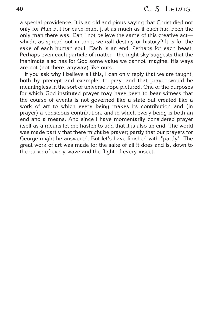a special providence. It is an old and pious saying that Christ died not only for Man but for each man, just as much as if each had been the only man there was. Can I not believe the same of this creative act which, as spread out in time, we call destiny or history? It is for the sake of each human soul. Each is an end. Perhaps for each beast. Perhaps even each particle of matter—the night sky suggests that the inanimate also has for God some value we cannot imagine. His ways are not (not there, anyway) like ours.

If you ask why I believe all this, I can only reply that we are taught, both by precept and example, to pray, and that prayer would be meaningless in the sort of universe Pope pictured. One of the purposes for which God instituted prayer may have been to bear witness that the course of events is not governed like a state but created like a work of art to which every being makes its contribution and (in prayer) a conscious contribution, and in which every being is both an end and a means. And since I have momentarily considered prayer itself as a means let me hasten to add that it is also an end. The world was made partly that there might be prayer; partly that our prayers for George might be answered. But let's have finished with "partly". The great work of art was made for the sake of all it does and is, down to the curve of every wave and the flight of every insect.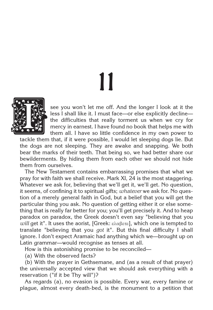

See you won't let me off. And the longer I look at it the longer  $\frac{1}{2}$  see you won't let me off. And the longer I look at it the less I shall like it. I must face—or else explicitly decline—<br>the difficulties that reall less I shall like it. I must face—or else explicitly decline the difficulties that really torment us when we cry for mercy in earnest. I have found no book that helps me with them all. I have so little confidence in my own power to

tackle them that, if it were possible, I would let sleeping dogs lie. But the dogs are not sleeping. They are awake and snapping. We both bear the marks of their teeth. That being so, we had better share our bewilderments. By hiding them from each other we should not hide them from ourselves.

The New Testament contains embarrassing promises that what we pray for with faith we shall receive. Mark XI, 24 is the most staggering. Whatever we ask for, believing that we'll get it, we'll get. No question, it seems, of confining it to spiritual gifts; *whatever* we ask for. No question of a merely general faith in God, but a belief that you will get the particular thing you ask. No question of getting either it or else something that is really far better for you; you'll get precisely it. And to heap paradox on paradox, the Greek doesn't even say "believing that you *will* get it". It uses the aorist, [Greek: ελαβετε], which one is tempted to translate "believing that you *got* it". But this final difficulty I shall ignore. I don't expect Aramaic had anything which we—brought up on Latin grammar—would recognise as tenses at all.

How is this astonishing promise to be reconciled—

(a) With the observed facts?

(b) With the prayer in Gethsemane, and (as a result of that prayer) the universally accepted view that we should ask everything with a reservation ("if it be Thy will")?

As regards (a), no evasion is possible. Every war, every famine or plague, almost every death-bed, is the monument to a petition that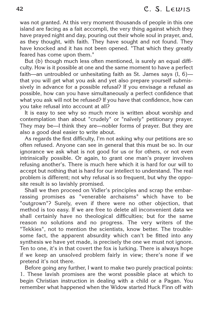was not granted. At this very moment thousands of people in this one island are facing as a fait accompli, the very thing against which they have prayed night and day, pouring out their whole soul in prayer, and, as they thought, with faith. They have sought and not found. They have knocked and it has not been opened. "That which they greatly feared has come upon them."

But (b) though much less often mentioned, is surely an equal difficulty. How is it possible at one and the same moment to have a perfect faith—an untroubled or unhesitating faith as St. James says (I, 6) that you will get what you ask and yet also prepare yourself submissively in advance for a possible refusal? If you envisage a refusal as possible, how can you have simultaneously a perfect confidence that what you ask will not be refused? If you have that confidence, how can you take refusal into account at all?

It is easy to see why so much more is written about worship and contemplation than about "crudely" or "naïvely" petitionary prayer. They may be—I think they are—nobler forms of prayer. But they are also a good deal easier to write about.

As regards the first difficulty, I'm not asking why our petitions are so often refused. Anyone can see in general that this must be so. In our ignorance we ask what is not good for us or for others, or not even intrinsically possible. Or again, to grant one man's prayer involves refusing another's. There is much here which it is hard for our will to accept but nothing that is hard for our intellect to understand. The real problem is different; not why refusal is so frequent, but why the opposite result is so lavishly promised.

Shall we then proceed on Vidler's principles and scrap the embarrassing promises as "venerable archaisms" which have to be "outgrown"? Surely, even if there were no other objection, that method is too easy. If we are free to delete all inconvenient data we shall certainly have no theological difficulties; but for the same reason no solutions and no progress. The very writers of the "Tekkies", not to mention the scientists, know better. The troublesome fact, the apparent absurdity which can't be fitted into any synthesis we have yet made, is precisely the one we must not ignore. Ten to one, it's in that covert the fox is lurking. There is always hope if we keep an unsolved problem fairly in view; there's none if we pretend it's not there.

Before going any further, I want to make two purely practical points: 1. These lavish promises are the worst possible place at which to begin Christian instruction in dealing with a child or a Pagan. You remember what happened when the Widow started Huck Finn off with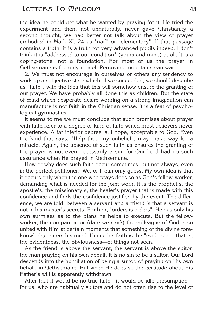the idea he could get what he wanted by praying for it. He tried the experiment and then, not unnaturally, never gave Christianity a second thought; we had better not talk about the view of prayer embodied in Mark XI, 24 as "naïf" or "elementary". If that passage contains a truth, it is a truth for very advanced pupils indeed. I don't think it is "addressed to our condition" (yours and mine) at all. It is a coping-stone, not a foundation. For most of us the prayer in Gethsemane is the only model. Removing mountains can wait.

2. We must not encourage in ourselves or others any tendency to work up a subjective state which, if we succeeded, we should describe as "faith", with the idea that this will somehow ensure the granting of our prayer. We have probably all done this as children. But the state of mind which desperate desire working on a strong imagination can manufacture is not faith in the Christian sense. It is a feat of psychological gymnastics.

It seems to me we must conclude that such promises about prayer with faith refer to a degree or kind of faith which most believers never experience. A far inferior degree is, I hope, acceptable to God. Even the kind that says, "Help thou my unbelief", may make way for a miracle. Again, the absence of such faith as ensures the granting of the prayer is not even necessarily a sin; for Our Lord had no such assurance when He prayed in Gethsemane.

How or why does such faith occur sometimes, but not always, even in the perfect petitioner? We, or I, can only guess. My own idea is that it occurs only when the one who prays does so as God's fellow-worker, demanding what is needed for the joint work. It is the prophet's, the apostle's, the missionary's, the healer's prayer that is made with this confidence and finds the confidence justified by the event. The difference, we are told, between a servant and a friend is that a servant is not in his master's secrets. For him, "orders is orders". He has only his own surmises as to the plans he helps to execute. But the fellowworker, the companion or (dare we say?) the colleague of God is so united with Him at certain moments that something of the divine foreknowledge enters his mind. Hence his faith is the "evidence"—that is, the evidentness, the obviousness—of things not seen.

As the friend is above the servant, the servant is above the suitor, the man praying on his own behalf. It is no sin to be a suitor. Our Lord descends into the humiliation of being a suitor, of praying on His own behalf, in Gethsemane. But when He does so the certitude about His Father's will is apparently withdrawn.

After that it would be no true faith—it would be idle presumption for us, who are habitually suitors and do not often rise to the level of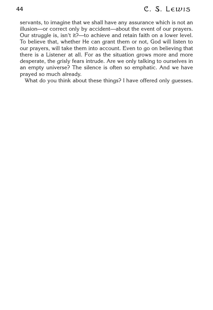servants, to imagine that we shall have any assurance which is not an illusion—or correct only by accident—about the event of our prayers. Our struggle is, isn't it?—to achieve and retain faith on a lower level. To believe that, whether He can grant them or not, God will listen to our prayers, will take them into account. Even to go on believing that there is a Listener at all. For as the situation grows more and more desperate, the grisly fears intrude. Are we only talking to ourselves in an empty universe? The silence is often so emphatic. And we have prayed so much already.

What do you think about these things? I have offered only guesses.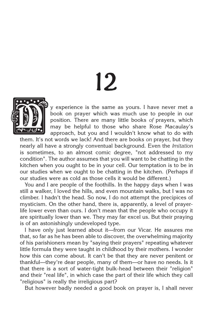

y experience is the same as yours. I have never met a book on prayer which was much use to people in our position. There are many little books of prayers, which may be helpful to those who share Rose Macaulay's approach, b book on prayer which was much use to people in our position. There are many little books *of* prayers, which may be helpful to those who share Rose Macaulay's approach, but you and I wouldn't know what to do with

them. It's not words we lack! And there are books *on* prayer, but they nearly all have a strongly conventual background. Even the *Imitation* is sometimes, to an almost comic degree, "not addressed to my condition". The author assumes that you will want to be chatting in the kitchen when you ought to be in your cell. Our temptation is to be in our studies when we ought to be chatting in the kitchen. (Perhaps if our studies were as cold as those cells it would be different.)

You and I are people of the foothills. In the happy days when I was still a walker, I loved the hills, and even mountain walks, but I was no climber. I hadn't the head. So now, I do not attempt the precipices of mysticism. On the other hand, there is, apparently, a level of prayerlife lower even than ours. I don't mean that the people who occupy it are spiritually lower than we. They may far excel us. But their praying is of an astonishingly undeveloped type.

I have only just learned about it—from our Vicar. He assures me that, so far as he has been able to discover, the overwhelming majority of his parishioners mean by "saying their prayers" repeating whatever little formula they were taught in childhood by their mothers. I wonder how this can come about. It can't be that they are never penitent or thankful—they're dear people, many of them—or have no needs. Is it that there is a sort of water-tight bulk-head between their "religion" and their "real life", in which case the part of their life which they call "religious" is really the irreligious part?

But however badly needed a good book on prayer is, I shall never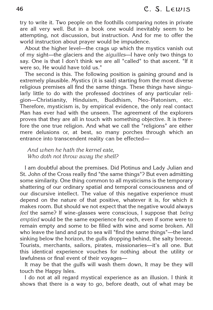**46** C. S. L ewis

try to write it. Two people on the foothills comparing notes in private are all very well. But in a book one would inevitably seem to be attempting, not discussion, but instruction. And for me to offer the world instruction about prayer would be impudence.

About the higher level—the crags up which the mystics vanish out of my sight—the glaciers and the *aiguilles*—I have only two things to say. One is that I don't think we are all "called" to that ascent. "If it were so, He would have told us."

The second is this. The following position is gaining ground and is extremely plausible. Mystics (it is said) starting from the most diverse religious premises all find the same things. These things have singularly little to do with the professed doctrines of any particular religion—Christianity, Hinduism, Buddhism, Neo-Platonism, etc. Therefore, mysticism is, by empirical evidence, the only real contact Man has ever had with the unseen. The agreement of the explorers proves that they are all in touch with something objective. It is therefore the one true religion. And what we call the "religions" are either mere delusions or, at best, so many porches through which an entrance into transcendent reality can be effected—

*And when he hath the kernel eate, Who doth not throw away the shell?*

I am doubtful about the premises. Did Plotinus and Lady Julian and St. John of the Cross really find "the same things"? But even admitting some similarity. One thing common to all mysticisms is the temporary shattering of our ordinary spatial and temporal consciousness and of our discursive intellect. The value of this negative experience must depend on the nature of that positive, whatever it is, for which it makes room. But should we not expect that the negative would always *feel* the same? If wine-glasses were conscious, I suppose that *being emptied* would be the same experience for each, even if some were to remain empty and some to be filled with wine and some broken. All who leave the land and put to sea will "find the same things"—the land sinking below the horizon, the gulls dropping behind, the salty breeze. Tourists, merchants, sailors, pirates, missionaries—it's all one. But this identical experience vouches for nothing about the utility or lawfulness or final event of their voyages—

It may be that the gulfs will wash them down, It may be they will touch the Happy Isles.

I do not at all regard mystical experience as an illusion. I think it shows that there is a way to go, before death, out of what may be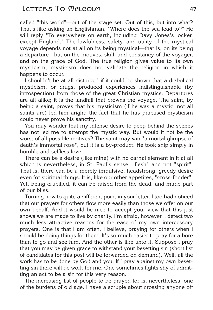called "this world"—out of the stage set. Out of this; but into what? That's like asking an Englishman, "Where does the sea lead to?" He will reply "To everywhere on earth, including Davy Jones's locker, except England." The lawfulness, safety, and utility of the mystical voyage depends not at all on its being mystical—that is, on its being a departure—but on the motives, skill, and constancy of the voyager, and on the grace of God. The true religion gives value to its own mysticism; mysticism does not validate the religion in which it happens to occur.

I shouldn't be at all disturbed if it could be shown that a diabolical mysticism, or drugs, produced experiences indistinguishable (by introspection) from those of the great Christian mystics. Departures are all alike; it is the landfall that crowns the voyage. The saint, by being a saint, proves that his mysticism (if he was a mystic; not all saints are) led him aright; the fact that he has practised mysticism could never prove his sanctity.

You may wonder that my intense desire to peep behind the scenes has not led me to attempt the mystic way. But would it not be the worst of all possible motives? The saint may win "a mortal glimpse of death's immortal rose", but it is a by-product. He took ship simply in humble and selfless love.

There can be a desire (like mine) with no carnal element in it at all which is nevertheless, in St. Paul's sense, "flesh" and not "spirit". That is, there can be a merely impulsive, headstrong, greedy desire even for spiritual things. It is, like our other appetites, "cross-fodder". Yet, being crucified, it can be raised from the dead, and made part of our bliss.

Turning now to quite a different point in your letter. I too had noticed that our prayers for others flow more easily than those we offer on our own behalf. And it would be nice to accept your view that this just shows we are made to live by charity. I'm afraid, however, I detect two much less attractive reasons for the ease of my own intercessory prayers. One is that I am often, I believe, praying for others when I should be doing things for them. It's so much easier to pray for a bore than to go and see him. And the other is like unto it. Suppose I pray that you may be given grace to withstand your besetting sin (short list of candidates for this post will be forwarded on demand). Well, all the work has to be done by God and you. If I pray against my own besetting sin there will be work for me. One sometimes fights shy of admitting an act to be a sin for this very reason.

The increasing list of people to be prayed for is, nevertheless, one of the burdens of old age. I have a scruple about crossing anyone off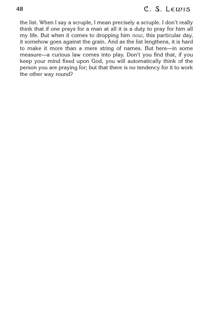the list. When I say a scruple, I mean precisely a scruple. I don't really think that if one prays for a man at all it is a duty to pray for him all my life. But when it comes to dropping him *now*, this particular day, it somehow goes against the grain. And as the list lengthens, it is hard to make it more than a mere string of names. But here—in some measure—a curious law comes into play. Don't you find that, if you keep your mind fixed upon God, you will automatically think of the person you are praying for; but that there is no tendency for it to work the other way round?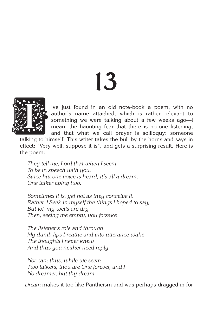

I've just found in an old note-book a poem, with no<br>author's name attached, which is rather relevant to<br>something we were talking about a few weeks ago—I<br>mean, the haunting fear that there is no-one listening,<br>and that wha author's name attached, which is rather relevant to something we were talking about a few weeks ago—I mean, the haunting fear that there is no-one listening, and that what we call prayer is soliloquy: someone

talking to himself. This writer takes the bull by the horns and says in effect: "Very well, suppose it is", and gets a surprising result. Here is the poem:

*They tell me, Lord that when I seem To be in speech with you, Since but one voice is heard, it's all a dream, One talker aping two.*

*Sometimes it is, yet not as they conceive it. Rather, I Seek in myself the things I hoped to say, But lo!, my wells are dry. Then, seeing me empty, you forsake* 

*The listener's role and through My dumb lips breathe and into utterance wake The thoughts I never knew. And thus you neither need reply* 

*Nor can; thus, while we seem Two talkers, thou are One forever, and I No dreamer, but thy dream.*

*Dream* makes it too like Pantheism and was perhaps dragged in for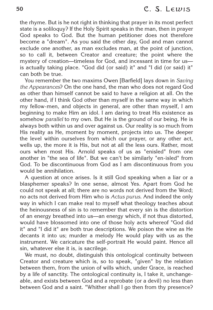the rhyme. But is he not right in thinking that prayer in its most perfect state is a soliloquy? If the Holy Spirit speaks in the man, then in prayer God speaks to God. But the human petitioner does not therefore become a "dream". As you said the other day, God and man cannot exclude one another, as man excludes man, at the point of junction, so to call it, between Creator and creature; the point where the mystery of creation—timeless for God, and incessant in time for us is actually taking place. "God did (or said) it" and "I did (or said) it" can both be true.

You remember the two maxims Owen [Barfield] lays down in *Saving the Appearances*? On the one hand, the man who does not regard God as other than himself cannot be said to have a religion at all. On the other hand, if I think God other than myself in the same way in which my fellow-men, and objects in general, are other than myself, I am beginning to make Him an idol. I am daring to treat His existence as somehow *parallel* to my own. But He is the ground of our being. He is always both within us and over against us. Our reality is so much from His reality as He, moment by moment, projects into us. The deeper the level within ourselves from which our prayer, or any other act, wells up, the more it is His, but not at all the less ours. Rather, most ours when most His. Arnold speaks of us as "enisled" from one another in "the sea of life". But we can't be similarly "en-isled" from God. To be discontinuous from God as I am discontinuous from you would be annihilation.

A question at once arises. Is it still God speaking when a liar or a blasphemer speaks? In one sense, almost Yes. Apart from God he could not speak at all; there are no words not derived from the Word; no acts not derived from Him who is *Actus purus*. And indeed the only way in which I can make real to myself what theology teaches about the heinousness of sin is to remember that every sin is the distortion of an energy breathed into us—an energy which, if not thus distorted, would have blossomed into one of those holy acts whereof "God did it" and "I did it" are both true descriptions. We poison the wine as He decants it into us; murder a melody He would play with us as the instrument. We caricature the self-portrait He would paint. Hence all sin, whatever else it is, is sacrilege.

We must, no doubt, distinguish this ontological continuity between Creator and creature which is, so to speak, "given" by the relation between them, from the union of wills which, under Grace, is reached by a life of sanctity. The ontological continuity is, I take it, unchangeable, and exists between God and a reprobate (or a devil) no less than between God and a saint. "Whither shall I go then from thy presence?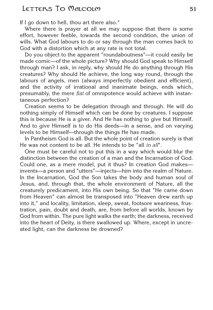If I go down to hell, thou art there also."

Where there is prayer at all we may suppose that there is some effort, however feeble, towards the second condition, the union of wills. What God labours to do or say through the man comes back to God with a distortion which at any rate is not total.

Do you object to the apparent "roundaboutness"—it could easily be made comic—of the whole picture? Why should God speak to Himself through man? I ask, in reply, why should He do anything through His creatures? Why should He achieve, the long way round, through the labours of angels, men (always imperfectly obedient and efficient), and the activity of irrational and inanimate beings, ends which, presumably, the mere *fiat* of omnipotence would achieve with instantaneous perfection?

Creation seems to be delegation through and through. He will do nothing simply of Himself which can be done by creatures. I suppose this is because He is a giver. And He has nothing to give but Himself. And to give Himself is to do His deeds—in a sense, and on varying levels to be Himself—through the things He has made.

In Pantheism God is all. But the whole point of creation surely is that He was not content to be all. He intends to be "all *in all*".

One must be careful not to put this in a way which would blur the distinction between the creation of a man and the Incarnation of God. Could one, as a mere model, put it thus? In creation God makes invents—a person and "utters"—injects—him into the realm of Nature. In the Incarnation, God the Son takes the body and human soul of Jesus, and, through that, the whole environment of Nature, all the creaturely predicament, into His own being. So that "He came down from Heaven" can almost be transposed into "Heaven drew earth up into it," and locality, limitation, sleep, sweat, footsore weariness, frustration, pain, doubt and death, are, from before all worlds, known by God from within. The pure light walks the earth; the darkness, received into the heart of Deity, is there swallowed up. Where, except in uncreated light, can the darkness be drowned?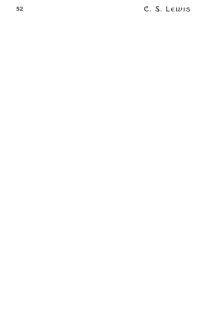# **C. S. LEWIS**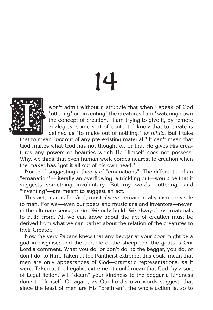

I won't admit without a struggle that when I speak of God<br>
"uttering" or "inventing" the creatures I am "watering down<br>
the concept of creation." I am trying to give it, by remote<br>
analogies, some sort of content. I know t "uttering" or "inventing" the creatures I am "watering down the concept of creation." I am trying to give it, by remote analogies, some sort of content. I know that to create is defined as "to make out of nothing," *ex nihilo*. But I take

that to mean "*not* out of any pre-existing material." It can't mean that God makes what God has not thought of, or that He gives His creatures any powers or beauties which He Himself does not possess. Why, we think that even human work comes nearest to creation when the maker has "got it all out of his own head."

Nor am I suggesting a theory of "emanations". The differentia of an "emanation"—literally an overflowing, a trickling out—would be that it suggests something involuntary. But my words—"uttering" and "inventing"—are meant to suggest an act.

This act, as it is for God, must always remain totally inconceivable to man. For we—even our poets and musicians and inventors—never, in the ultimate sense, *make*. We only build. We always have materials to build from. All we can know about the act of creation must be derived from what we can gather about the relation of the creatures to their Creator.

Now the very Pagans knew that any beggar at your door might be a god in disguise: and the parable of the sheep and the goats is Our Lord's comment. What you do, or don't do, to the beggar, you do, or don't do, to Him. Taken at the Pantheist extreme, this could mean that men are only appearances of God—dramatic representations, as it were. Taken at the Legalist extreme, it could mean that God, by a sort of Legal fiction, will "deem" your kindness to the beggar a kindness done to Himself. Or again, as Our Lord's own words suggest, that since the least of men are His "brethren", the whole action is, so to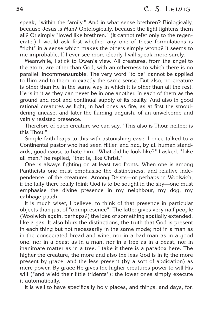#### 54 C. S. LEWIS

speak, "within the family." And in what sense brethren? Biologically, because Jesus is Man? Ontologically, because the light lightens them all? Or simply "loved like brethren." (It cannot refer only to the regenerate.) I would ask first whether any one of these formulations is "right" in a sense which makes the others simply wrong? It seems to me improbable. If I ever see more clearly I will speak more surely.

Meanwhile, I stick to Owen's view. All creatures, from the angel to the atom, are other than God; with an otherness to which there is no parallel: incommensurable. The very word "to be" cannot be applied to Him and to them in exactly the same sense. But also, no creature is other than He in the same way in which it is other than all the rest. He is in it as they can never be in one another. In each of them as the ground and root and continual supply of its reality. And also in good rational creatures as light; in bad ones as fire, as at first the smouldering unease, and later the flaming anguish, of an unwelcome and vainly resisted presence.

Therefore of each creature we can say, "This also is Thou: neither is this Thou."

Simple faith leaps to this with astonishing ease. I once talked to a Continental pastor who had seen Hitler, and had, by all human standards, good cause to hate him. "What did he look like?" I asked. "Like all men," he replied, "that is, like Christ."

One is always fighting on at least two fronts. When one is among Pantheists one must emphasise the distinctness, and relative independence, of the creatures. Among Deists—or perhaps in Woolwich, if the laity there really think God is to be sought in the sky—one must emphasise the divine presence in my neighbour, my dog, my cabbage-patch.

It is much wiser, I believe, to think of that presence in particular objects than just of "omnipresence". The latter gives very naïf people (Woolwich again, perhaps?) the idea of something spatially extended, like a gas. It also blurs the distinctions, the truth that God is present in each thing but not necessarily in the same mode; not in a man as in the consecrated bread and wine, nor in a bad man as in a good one, nor in a beast as in a man, nor in a tree as in a beast, nor in inanimate matter as in a tree. I take it there is a paradox here. The higher the creature, the more and also the less God is in it; the more present by grace, and the less present (by a sort of abdication) as mere power. By grace He gives the higher creatures power to will His will ("and wield their little tridents"): the lower ones simply execute it automatically.

It is well to have specifically holy places, and things, and days, for,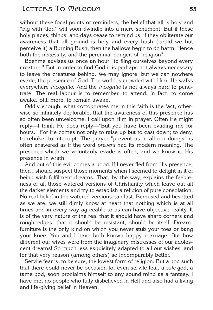without these focal points or reminders, the belief that all is holy and "big with God" will soon dwindle into a mere sentiment. But if these holy places, things, and days cease to remind us, if they obliterate our awareness that all ground is holy and every bush (could we but perceive it) a Burning Bush, then the hallows begin to do harm. Hence both the necessity, and the perennial danger, of "religion".

Boehme advises us once an hour "to fling ourselves beyond every creature." But in order to find God it is perhaps not always necessary to leave the creatures behind. We may ignore, but we can nowhere evade, the presence of God. The world is crowded with Him. He walks everywhere *incognito*. And the *incognito* is not always hard to penetrate. The real labour is to remember, to attend. In fact, to come awake. Still more, to remain awake.

Oddly enough, what corroborates me in this faith is the fact, otherwise so infinitely deplorable, that the awareness of this presence has so often been unwelcome. I call upon Him in prayer. Often He might reply—I think He does reply—"But you have been evading me for hours." For He comes not only to raise up but to cast down; to deny, to rebuke, to interrupt. The prayer "prevent us in all our doings" is often answered as if the word *prevent* had its modern meaning. The presence which we voluntarily evade is often, and we know it, His presence in wrath.

And out of this evil comes a good. If I never fled from His presence, then I should suspect those moments when I seemed to delight in it of being wish-fulfilment dreams. That, by the way, explains the feebleness of all those watered versions of Christianity which leave out all the darker elements and try to establish a religion of pure consolation. No real belief in the watered versions can last. Bemused and besotted as we are, we still dimly know at heart that nothing which is at all times and in every way agreeable to us can have objective reality. It is of the very nature of the real that it should have sharp corners and rough edges, that it should be resistant, should be itself. Dreamfurniture is the only kind on which you never stub your toes or bang your knee. You and I have both known happy marriage. But how different our wives were from the imaginary mistresses of our adolescent dreams! So much less exquisitely adapted to all our wishes; and for that very reason (among others) so incomparably better.

Servile fear is, to be sure, the lowest form of religion. But a god such that there could never be occasion for even servile fear, a *safe* god, a tame god, soon proclaims himself to any sound mind as a fantasy. I have met no people who fully disbelieved in Hell and also had a living and life-giving belief in Heaven.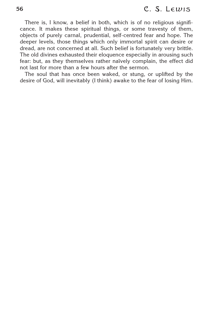There is, I know, a belief in both, which is of no religious significance. It makes these spiritual things, or some travesty of them, objects of purely carnal, prudential, self-centred fear and hope. The deeper levels, those things which only immortal spirit can desire or dread, are not concerned at all. Such belief is fortunately very brittle. The old divines exhausted their eloquence especially in arousing such fear: but, as they themselves rather naïvely complain, the effect did not last for more than a few hours after the sermon.

The soul that has once been waked, or stung, or uplifted by the desire of God, will inevitably (I think) awake to the fear of losing Him.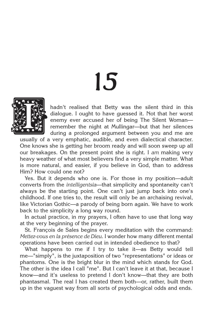

and that Betty was the silent third in this dialogue. I ought to have guessed it. Not that her worst<br>enemy ever accused her of being The Silent Woman—<br>remember the night at Mullingar—but that her silences<br>during a prolonge dialogue. I ought to have guessed it. Not that her worst enemy ever accused her of being The Silent Woman remember the night at Mullingar—but that her silences during a prolonged argument between you and me are

usually of a very emphatic, audible, and even dialectical character. One knows she is getting her broom ready and will soon sweep up all our breakages. On the present point she is right. I *am* making very heavy weather of what most believers find a very simple matter. What is more natural, and easier, if you believe in God, than to address Him? How could one not?

Yes. But it depends who one is. For those in my position—adult converts from the *intelligentsia*—that simplicity and spontaneity can't always be the starting point. One can't just jump back into one's childhood. If one tries to, the result will only be an archaising revival, like Victorian Gothic—a parody of being born again. We have to work back to the simplicity a long way round.

In actual practice, in my prayers, I often have to use that long way at the very beginning of the prayer.

St. François de Sales begins every meditation with the command: *Mettez-vous en la présence de Dieu*. I wonder how many different mental operations have been carried out in intended obedience to that?

What happens to me if I try to take it—as Betty would tell me—"simply", is the juxtaposition of two "representations" or ideas or phantoms. One is the bright blur in the mind which stands for God. The other is the idea I call "me". But I can't leave it at that, because I know—and it's useless to pretend I don't know—that they are both phantasmal. The real I has created them both—or, rather, built them up in the vaguest way from all sorts of psychological odds and ends.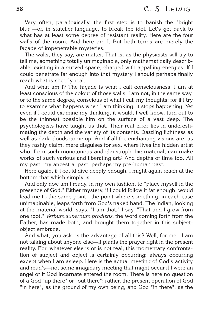#### 58 C. S. LEWIS

Very often, paradoxically, the first step is to banish the "bright blur"—or, in statelier language, to break the idol. Let's get back to what has at least some degree of resistant reality. Here are the four walls of the room. And here am I. But both terms are merely the façade of impenetrable mysteries.

The walls, they say, are matter. That is, as the physicists will try to tell me, something totally unimaginable, only mathematically describable, existing in a curved space, charged with appalling energies. If I could penetrate far enough into that mystery I should perhaps finally reach what is sheerly real.

And what am I? The façade is what I call consciousness. I am at least conscious of the colour of those walls. I am not, in the same way, or to the same degree, conscious of what I call my thoughts: for if I try to examine what happens when I am thinking, it stops happening. Yet even if I could examine my thinking, it would, I well know, turn out to be the thinnest possible film on the surface of a vast deep. The psychologists have taught us that. Their real error lies in underestimating the depth and the variety of its contents. Dazzling lightness as well as dark clouds come up. And if all the enchanting visions are, as they rashly claim, mere disguises for sex, where lives the hidden artist who, from such monotonous and claustrophobic material, can make works of such various and liberating art? And depths of time too. All my past; my ancestral past; perhaps my pre-human past.

Here again, if I could dive deeply enough, I might again reach at the bottom that which simply is.

And only now am I ready, in my own fashion, to "place myself in the presence of God." Either mystery, if I could follow it far enough, would lead me to the same point—the point where something, in each case unimaginable, leaps forth from God's naked hand. The Indian, looking at the material world, says, "I am that." I say, "That and I grow from one root." *Verbum supernum prodiens*, the Word coming forth from the Father, has made both, and brought them together in this subjectobject embrace.

And what, you ask, is the advantage of all this? Well, for me—I am not talking about anyone else—it plants the prayer right in the present reality. For, whatever else is or is not real, this momentary confrontation of subject and object is certainly occurring: always occurring except when I am asleep. Here is the actual meeting of God's activity and man's—not some imaginary meeting that might occur if I were an angel or if God incarnate entered the room. There is here no question of a God "up there" or "out there"; rather, the present operation of God "in here", as the ground of my own being, and God "in there", as the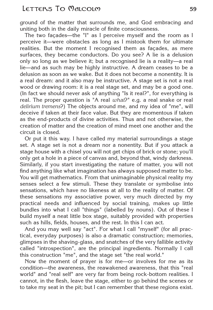ground of the matter that surrounds me, and God embracing and uniting both in the daily miracle of finite consciousness.

The two façades—the "I" as I perceive myself and the room as I perceive it—were obstacles as long as I mistook them for ultimate realities. But the moment I recognised them as façades, as mere surfaces, they became conductors. Do you see? A lie is a delusion only so long as we believe it; but a recognised lie is a reality—a real lie—and as such may be highly instructive. A dream ceases to be a delusion as soon as we wake. But it does not become a nonentity. It is a real dream: and it also may be instructive. A stage set is not a real wood or drawing room: it is a real stage set, and may be a good one. (In fact we should never ask of anything "Is it real?", for everything is real. The proper question is "A real *what*?" e.g. a real snake or real *delirium tremens*?) The objects around me, and my idea of "me", will deceive if taken at their face value. But they are momentous if taken as the end-products of divine activities. Thus and not otherwise, the creation of matter and the creation of mind meet one another and the circuit is closed.

Or put it this way. I have called my material surroundings a stage set. A stage set is not a dream nor a nonentity. But if you attack a stage house with a chisel you will not get chips of brick or stone; you'll only get a hole in a piece of canvas and, beyond that, windy darkness. Similarly, if you start investigating the nature of matter, you will not find anything like what imagination has always supposed matter to be. You will get mathematics. From that unimaginable physical reality my senses select a few stimuli. These they translate or symbolise into sensations, which have no likeness at all to the reality of matter. Of these sensations my associative power, very much directed by my practical needs and influenced by social training, makes up little bundles into what I call "things" (labelled by nouns). Out of these I build myself a neat little box stage, suitably provided with properties such as hills, fields, houses, and the rest. In this I can act.

And you may well say "act". For what I call "myself" (for all practical, everyday purposes) is also a dramatic construction; memories, glimpses in the shaving-glass, and snatches of the very fallible activity called "introspection", are the principal ingredients. Normally I call this construction "me", and the stage set "the real world."

Now the moment of prayer is for me—or involves for me as its condition—the awareness, the reawakened awareness, that this "real world" and "real self" are very far from being rock-bottom realities. I cannot, in the flesh, leave the stage, either to go behind the scenes or to take my seat in the pit; but I can remember that these regions exist.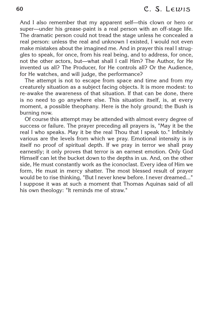And I also remember that my apparent self—this clown or hero or super—under his grease-paint is a real person with an off-stage life. The dramatic person could not tread the stage unless he concealed a real person: unless the real and unknown I existed, I would not even make mistakes about the imagined me. And in prayer this real I struggles to speak, for once, from his real being, and to address, for once, not the other actors, but—what shall I call Him? The Author, for He invented us all? The Producer, for He controls all? Or the Audience, for He watches, and will judge, the performance?

The attempt is not to escape from space and time and from my creaturely situation as a subject facing objects. It is more modest: to re-awake the awareness of that situation. If that can be done, there is no need to go anywhere else. This situation itself, is, at every moment, a possible theophany. Here is the holy ground; the Bush is burning now.

Of course this attempt may be attended with almost every degree of success or failure. The prayer preceding all prayers is, "May it be the real I who speaks. May it be the real Thou that I speak to." Infinitely various are the levels from which we pray. Emotional intensity is in itself no proof of spiritual depth. If we pray in terror we shall pray earnestly; it only proves that terror is an earnest emotion. Only God Himself can let the bucket down to the depths in us. And, on the other side, He must constantly work as the iconoclast. Every idea of Him we form, He must in mercy shatter. The most blessed result of prayer would be to rise thinking, "But I never knew before. I never dreamed..." I suppose it was at such a moment that Thomas Aquinas said of all his own theology: "It reminds me of straw."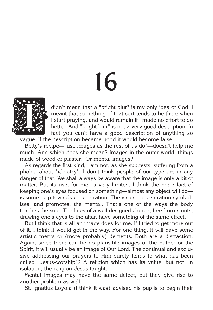

a didn't mean that a "bright blur" is my only idea of God. I<br>meant that something of that sort tends to be there when<br>I start praying, and would remain if I made no effort to do<br>better. And "bright blur" is not a very good meant that something of that sort tends to be there when I start praying, and would remain if I made no effort to do better. And "bright blur" is not a very good description. In fact you can't have a good description of anything so

vague. If the description became good it would become false.

Betty's recipe—"use images as the rest of us do"—doesn't help me much. And which does she mean? Images in the outer world, things made of wood or plaster? Or mental images?

As regards the first kind, I am not, as she suggests, suffering from a phobia about "idolatry". I don't think people of our type are in any danger of that. We shall always be aware that the image is only a bit of matter. But its use, for me, is very limited. I think the mere fact of keeping one's eyes focused on something—almost any object will do is some help towards concentration. The visual concentration symbolises, and promotes, the mental. That's one of the ways the body teaches the soul. The lines of a well designed church, free from stunts, drawing one's eyes to the altar, have something of the same effect.

But I think that is all an image does for me. If I tried to get more out of it, I think it would get in the way. For one thing, it will have some artistic merits or (more probably) demerits. Both are a distraction. Again, since there can be no plausible images of the Father or the Spirit, it will usually be an image of Our Lord. The continual and exclusive addressing our prayers to Him surely tends to what has been called "Jesus-worship"? A religion which has its value; but not, in isolation, the religion Jesus taught.

Mental images may have the same defect, but they give rise to another problem as well.

St. Ignatius Loyola (I think it was) advised his pupils to begin their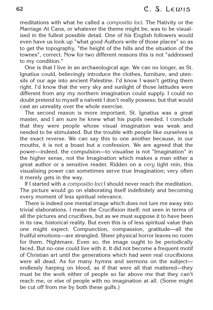meditations with what he called a *compositio loci*. The Nativity or the Marriage At Cana, or whatever the theme might be, was to be visualised in the fullest possible detail. One of his English followers would even have us look up "what good Authors write of those places" so as to get the topography, "the height of the hills and the situation of the townes", correct. Now for two different reasons this is not "addressed to my condition."

One is that I live in an archaeological age. We can no longer, as St. Ignatius could, believingly introduce the clothes, furniture, and utensils of our age into ancient Palestine. I'd know I wasn't getting them right. I'd know that the very sky and sunlight of those latitudes were different from any my northern imagination could supply. I could no doubt pretend to myself a naïveté I don't really possess; but that would cast an unreality over the whole exercise.

The second reason is more important. St. Ignatius was a great master, and I am sure he knew what his pupils needed. I conclude that they were people whose visual imagination was weak and needed to be stimulated. But the trouble with people like ourselves is the exact reverse. We can say this to one another because, in our mouths, it is not a boast but a confession. We are agreed that the power—indeed, the compulsion—to visualise is not "Imagination" in the higher sense, not the Imagination which makes a man either a great author or a sensitive reader. Ridden on a *very* tight rein, this visualising power can sometimes serve true Imagination; very often it merely gets in the way.

If I started with a *compositio loci* I should never reach the meditation. The picture would go on elaborating itself indefinitely and becoming every moment of less spiritual relevance.

There is indeed one mental image which does not lure me away into trivial elaborations. I mean the Crucifixion itself; not seen in terms of all the pictures and crucifixes, but as we must suppose it to have been in its raw, historical reality. But even this is of less spiritual value than one might expect. Compunction, compassion, gratitude—all the fruitful emotions—are strangled. Sheer physical horror leaves no room for them. Nightmare. Even so, the image ought to be periodically faced. But no-one could live with it. It did not become a frequent motif of Christian art until the generations which had seen real crucifixions were all dead. As for many hymns and sermons on the subject endlessly harping on blood, as if that were all that mattered—they must be the work either of people so far above me that they can't reach me, or else of people with no imagination at all. (Some might be cut off from me by both these gulfs.)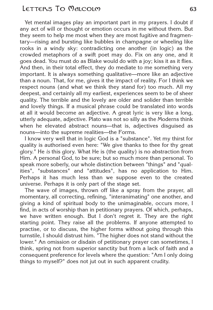Yet mental images play an important part in my prayers. I doubt if any act of will or thought or emotion occurs in me without them. But they seem to help me most when they are most fugitive and fragmentary—rising and bursting like bubbles in champagne or wheeling like rooks in a windy sky: contradicting one another (in logic) as the crowded metaphors of a swift poet may do. Fix on any one, and it goes dead. You must do as Blake would do with a joy; kiss it as it flies. And then, in their total effect, they do mediate to me something very important. It is always something qualitative—more like an adjective than a noun. That, for me, gives it the impact of reality. For I think we respect nouns (and what we think they stand for) too much. All my deepest, and certainly all my earliest, experiences seem to be of sheer quality. The terrible and the lovely are older and solider than terrible and lovely things. If a musical phrase could be translated into words at all it would become an adjective. A great lyric is very like a long, utterly adequate, adjective. Plato was not so silly as the Moderns think when he elevated abstract nouns—that is, adjectives disguised as nouns—into the supreme realities—the Forms.

I know very well that in logic God is a "substance". Yet my thirst for quality is authorised even here: "We give thanks to thee for thy great glory." He *is* this glory. What He is (the quality) is no abstraction from Him. A personal God, to be sure; but so much more than personal. To speak more soberly, our whole distinction between "things" and "qualities", "substances" and "attitudes", has no application to Him. Perhaps it has much less than we suppose even to the created universe. Perhaps it is only part of the stage set.

The wave of images, thrown off like a spray from the prayer, all momentary, all correcting, refining, "interanimating" one another, and giving a kind of spiritual body to the unimaginable, occurs more, I find, in acts of worship than in petitionary prayers. Of which, perhaps, we have written enough. But I don't regret it. They are the right starting point. They raise all the problems. If anyone attempted to practise, or to discuss, the higher forms without going through this turnstile, I should distrust him. "The higher does not stand without the lower." An omission or disdain of petitionary prayer can sometimes, I think, spring not from superior sanctity but from a lack of faith and a consequent preference for levels where the question: "Am I only doing things to myself?" does not jut out in such apparent crudity.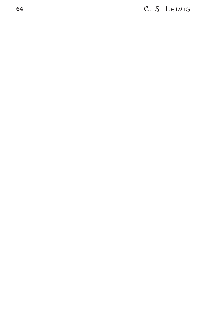# **C. S. LEWIS**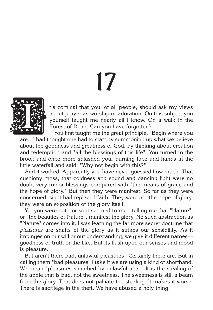

The two comical that you, of all people, should ask my views<br>about prayer as worship or adoration. On this subject you<br>wourself taught me nearly all I know. On a walk in the<br>Forest of Dean. Can you have forgotten?<br>You firs about prayer as worship or adoration. On this subject you yourself taught me nearly all I know. On a walk in the Forest of Dean. Can you have forgotten?

You first taught me the great principle, "Begin where you are." I had thought one had to start by summoning up what we believe about the goodness and greatness of God, by thinking about creation and redemption and "all the blessings of this life". You turned to the brook and once more splashed your burning face and hands in the little waterfall and said: "Why not begin with this?"

And it worked. Apparently you have never guessed how much. That cushiony moss, that coldness and sound and dancing light were no doubt very minor blessings compared with "the means of grace and the hope of glory." But then they were manifest. So far as they were concerned, sight had replaced faith. They were not the hope of glory, they were an exposition of the glory itself.

Yet you were not—or so it seemed to me—telling me that "Nature", or "the beauties of Nature", manifest the glory. No such abstraction as "Nature" comes into it. I was learning the far more secret doctrine that *pleasures* are shafts of the glory as it strikes our sensibility. As it impinges on our will or our understanding, we give it different names goodness or truth or the like. But its flash upon our senses and mood is pleasure.

But aren't there bad, unlawful pleasures? Certainly there are. But in calling them "bad pleasures" I take it we are using a kind of shorthand. We mean "pleasures snatched by unlawful acts." It is the stealing of the apple that is bad, not the sweetness. The sweetness is still a beam from the glory. That does not palliate the stealing. It makes it worse. There is sacrilege in the theft. We have abused a holy thing.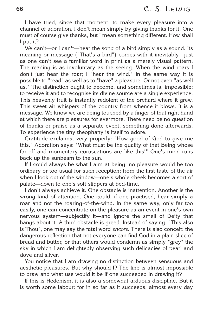I have tried, since that moment, to make every pleasure into a channel of adoration. I don't mean simply by giving thanks for it. One must of course give thanks, but I mean something different. How shall I put it?

We can't—or I can't—hear the song of a bird simply as a sound. Its meaning or message ("That's a bird") comes with it inevitably—just as one can't see a familiar word in print as a merely visual pattern. The reading is as involuntary as the seeing. When the wind roars I don't just hear the roar; I "hear the wind." In the same way it is possible to "read" as well as to "have" a pleasure. Or not even "as well as." The distinction ought to become, and sometimes is, impossible; to receive it and to recognise its divine source are a single experience. This heavenly fruit is instantly redolent of the orchard where it grew. This sweet air whispers of the country from whence it blows. It is a message. We know we are being touched by a finger of that right hand at which there are pleasures for evermore. There need be no question of thanks or praise as a separate event, something done afterwards. To experience the tiny theophany is itself to adore.

Gratitude exclaims, very properly: "How good of God to give me this." Adoration says: "What must be the quality of that Being whose far-off and momentary coruscations are like this!" One's mind runs back up the sunbeam to the sun.

If I could always be what I aim at being, no pleasure would be too ordinary or too usual for such reception; from the first taste of the air when I look out of the window—one's whole cheek becomes a sort of palate—down to one's soft slippers at bed-time.

I don't always achieve it. One obstacle is inattention. Another is the wrong kind of attention. One could, if one practised, hear simply a roar and not the roaring-of-the-wind. In the same way, only far too easily, one can concentrate on the pleasure as an event in one's own nervous system—subjectify it—and ignore the smell of Deity that hangs about it. A third obstacle is greed. Instead of saying: "This also is Thou", one may say the fatal word *encore*. There is also conceit: the dangerous reflection that not everyone can find God in a plain slice of bread and butter, or that others would condemn as simply "grey" the sky in which I am delightedly observing such delicacies of pearl and dove and silver.

You notice that I am drawing no distinction between sensuous and aesthetic pleasures. But why should I? The line is almost impossible to draw and what use would it be if one succeeded in drawing it?

If this is Hedonism, it is also a somewhat arduous discipline. But it is worth some labour: for in so far as it succeeds, almost every day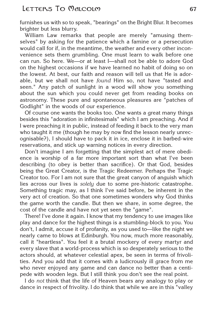furnishes us with so to speak, "bearings" on the Bright Blur. It becomes brighter but less blurry.

William Law remarks that people are merely "amusing themselves" by asking for the patience which a famine or a persecution would call for if, in the meantime, the weather and every other inconvenience sets them grumbling. One must learn to walk before one can run. So here. We—or at least I—shall not be able to adore God on the highest occasions if we have learned no habit of doing so on the lowest. At best, our faith and reason will tell us that He is adorable, but we shall not have *found* Him so, not have "tasted and seen." Any patch of sunlight in a wood will show you something about the sun which you could never get from reading books on astronomy. These pure and spontaneous pleasures are "patches of Godlight" in the woods of our experience.

Of course one wants the books too. One wants a great many things besides this "adoration in infinitesimals" which I am preaching. And if I were preaching it in public, instead of feeding it back to the very man who taught it me (though he may by now find the lesson nearly unrecognisable?), I should have to pack it in ice, enclose it in barbed-wire reservations, and stick up warning notices in every direction.

Don't imagine I am forgetting that the simplest act of mere obedience is worship of a far more important sort than what I've been describing (to obey is better than sacrifice). Or that God, besides being the Great Creator, is the Tragic Redeemer. Perhaps the Tragic Creator too. For I am not sure that the great canyon of anguish which lies across our lives is *solely* due to some pre-historic catastrophe. Something tragic may, as I think I've said before, be inherent in the very act of creation. So that one sometimes wonders why God thinks the game worth the candle. But then we share, in some degree, the cost of the candle and have not yet seen the "game".

There! I've done it again. I know that my tendency to use images like play and dance for the highest things is a stumbling-block to you. You don't, I admit, accuse it of profanity, as you used to—like the night we nearly came to blows at Edinburgh. You now, much more reasonably, call it "heartless". You feel it a brutal mockery of every martyr and every slave that a world-process which is so desperately serious to the actors should, at whatever celestial apex, be seen in terms of frivolities. And you add that it comes with a ludicrously ill grace from me who never enjoyed any game and can dance no better than a centipede with wooden legs. But I still think you don't see the real point.

I do *not* think that the life of Heaven bears any analogy to play or dance in respect of frivolity. I do think that while we are in this "valley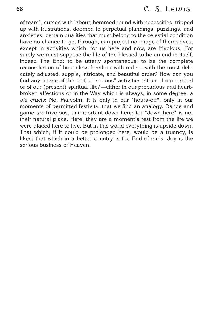of tears", cursed with labour, hemmed round with necessities, tripped up with frustrations, doomed to perpetual plannings, puzzlings, and anxieties, certain qualities that must belong to the celestial condition have no chance to get through, can project no image of themselves, except in activities which, for us here and now, are frivolous. For surely we must suppose the life of the blessed to be an end in itself, indeed The End: to be utterly spontaneous; to be the complete reconciliation of boundless freedom with order—with the most delicately adjusted, supple, intricate, and beautiful order? How can you find any image of this in the "serious" activities either of our natural or of our (present) spiritual life?—either in our precarious and heartbroken affections or in the Way which is always, in some degree, a *via crucis*: No, Malcolm. It is only in our "hours-off", only in our moments of permitted festivity, that we find an analogy. Dance and game *are* frivolous, unimportant down here; for "down here" is not their natural place. Here, they are a moment's rest from the life we were placed here to live. But in this world everything is upside down. That which, if it could be prolonged here, would be a truancy, is likest that which in a better country is the End of ends. Joy is the serious business of Heaven.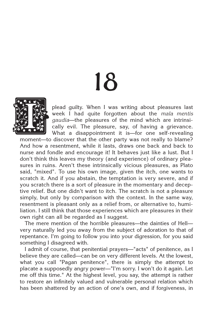

The plead guilty. When I was writing about pleasures last week I had quite forgotten about the *mala mentis* week I had quite forgotten about the *mala mentis* and *gaudia*—the pleasures of the mind which are intrinsically week I had quite forgotten about the *mala mentis gaudia*—the pleasures of the mind which are intrinsically evil. The pleasure, say, of having a grievance.

moment—to discover that the other party was not really to blame? And how a resentment, while it lasts, draws one back and back to nurse and fondle and encourage it! It behaves just like a lust. But I don't think this leaves my theory (and experience) of ordinary pleasures in ruins. Aren't these intrinsically vicious pleasures, as Plato said, "mixed". To use his own image, given the itch, one wants to scratch it. And if you abstain, the temptation is very severe, and if you scratch there is a sort of pleasure in the momentary and deceptive relief. But one didn't want to itch. The scratch is not a pleasure simply, but only by comparison with the context. In the same way, resentment is pleasant only as a relief from, or alternative to, humiliation. I still think that those experiences which are pleasures in their own right can all be regarded as I suggest.

The mere mention of the horrible pleasures—the dainties of Hell very naturally led you away from the subject of adoration to that of repentance. I'm going to follow you into your digression, for you said something I disagreed with.

I admit of course, that penitential prayers—"acts" of penitence, as I believe they are called—can be on very different levels. At the lowest, what you call "Pagan penitence", there is simply the attempt to placate a supposedly angry power—"I'm sorry. I won't do it again. Let me off this time." At the highest level, you say, the attempt is rather to restore an infinitely valued and vulnerable personal relation which has been shattered by an action of one's own, and if forgiveness, in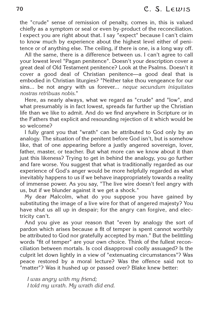the "crude" sense of remission of penalty, comes in, this is valued chiefly as a symptom or seal or even by-product of the reconciliation. I expect you are right about that. I say "expect" because I can't claim to know much by experience about the highest level either of penitence or of anything else. The ceiling, if there is one, is a long way off.

All the same, there is a difference between us. I can't agree to call your lowest level "Pagan penitence". Doesn't your description cover a great deal of Old Testament penitence? Look at the Psalms. Doesn't it cover a good deal of Christian penitence—a good deal that is embodied in Christian liturgies? "Neither take thou vengeance for our sins... be not angry with us forever... *neque secundum iniquitates nostras retribuas nobis*."

Here, as nearly always, what we regard as "crude" and "low", and what presumably is in fact lowest, spreads far further up the Christian life than we like to admit. And do we find anywhere in Scripture or in the Fathers that explicit and resounding rejection of it which would be so welcome?

I fully grant you that "wrath" can be attributed to God only by an analogy. The situation of the penitent before God isn't, but is somehow like, that of one appearing before a justly angered sovereign, lover, father, master, or teacher. But what more can we know about it than just this likeness? Trying to get in behind the analogy, you go further and fare worse. You suggest that what is traditionally regarded as our experience of God's anger would be more helpfully regarded as what inevitably happens to us if we behave inappropriately towards a reality of immense power. As you say, "The live wire doesn't feel angry with us, but if we blunder against it we get a shock."

My dear Malcolm, what do you suppose you have gained by substituting the image of a live wire for that of angered majesty? You have shut us all up in despair; for the angry can forgive, and electricity can't.

And you give as your reason that "even by analogy the sort of pardon which arises because a fit of temper is spent cannot worthily be attributed to God nor gratefully accepted by man." But the belittling words "fit of temper" are your own choice. Think of the fullest reconciliation between mortals. Is cool disapproval coolly assuaged? Is the culprit let down lightly in a view of "extenuating circumstances"? Was peace restored by a moral lecture? Was the offence said not to "matter"? Was it hushed up or passed over? Blake knew better:

*I was angry with my friend; I told my wrath. My wrath did end.*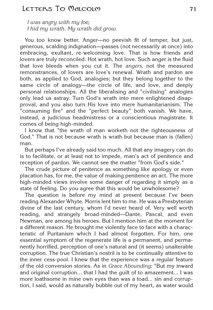*I was angry with my foe; I hid my wrath. My wrath did grow.*

You too know better. Anger—no peevish fit of temper, but just, generous, scalding indignation—passes (not necessarily at once) into embracing, exultant, re-welcoming love. That is how friends and lovers are truly reconciled. Hot wrath, hot love. Such anger is the fluid that love bleeds when you cut it. The *angers*, not the measured remonstrances, of lovers are love's renewal. Wrath and pardon are both, as applied to God, analogies; but they belong together to the same circle of analogy—the circle of life, and love, and deeply personal relationships. All the liberalising and "civilising" analogies only lead us astray. Turn God's wrath into mere enlightened disapproval, and you also turn His love into mere humanitarianism. The "consuming fire" and the "perfect beauty" both vanish. We have, instead, a judicious headmistress or a conscientious magistrate. It comes of being high-minded.

I know that "the wrath of man worketh not the righteousness of God." That is not because wrath is wrath but because man is (fallen) man.

But perhaps I've already said too much. All that any imagery can do is to facilitate, or at least not to impede, man's act of penitence and reception of pardon. We cannot see the matter "from God's side."

The crude picture of penitence as something like apology or even placation has, for me, the value of making penitence an act. The more high-minded views involve some danger of regarding it simply as a state of feeling. Do you agree that this would be unwholesome?

The question is before my mind at present because I've been reading Alexander Whyte. Morris lent him to me. He was a Presbyterian divine of the last century, whom I'd never heard of. Very well worth reading, and strangely broad-minded—Dante, Pascal, and even Newman, are among his heroes. But I mention him at the moment for a different reason. He brought me violently face to face with a characteristic of Puritanism which I had almost forgotten. For him, one essential symptom of the regenerate life is a permanent, and permanently horrified, perception of one's natural and (it seems) unalterable corruption. The true Christian's nostril is to be continually attentive to the inner cess-pool. I knew that the experience was a regular feature of the old conversion stories. As in *Grace Abounding*: "But my inward and original corruption... that I had the guilt of to amazement... I was more loathsome in mine own eyes than was a toad... sin and corruption, I said, would as naturally bubble out of my heart, as water would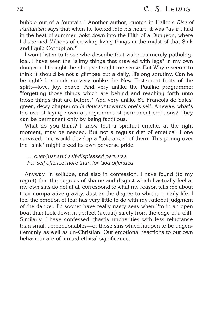bubble out of a fountain." Another author, quoted in Haller's *Rise of Puritanism* says that when he looked into his heart, it was "as if I had in the heat of summer lookt down into the Filth of a Dungeon, where I discerned Millions of crawling living things in the midst of that Sink and liquid Corruption."

I won't listen to those who describe that vision as merely pathological. I have seen the "slimy things that crawled with legs" in my own dungeon. I thought the glimpse taught me sense. But Whyte seems to think it should be not a glimpse but a daily, lifelong scrutiny. Can he be right? It sounds so very unlike the New Testament fruits of the spirit—love, joy, peace. And very unlike the Pauline programme; "forgetting those things which are behind and reaching forth unto those things that are before." And very unlike St. François de Sales' green, dewy chapter on *la douceur* towards one's self. Anyway, what's the use of laying down a programme of permanent emotions? They can be permanent only by being factitious.

What do you think? I know that a spiritual emetic, at the right moment, may be needed. But not a regular diet of emetics! If one survived, one would develop a "tolerance" of them. This poring over the "sink" might breed its own perverse pride

*… over-just and self-displeased perverse For self-offence more than for God offended.*

Anyway, in solitude, and also in confession, I have found (to my regret) that the degrees of shame and disgust which I actually feel at my own sins do not at all correspond to what my reason tells me about their comparative gravity. Just as the degree to which, in daily life, I feel the emotion of fear has very little to do with my rational judgment of the danger. I'd sooner have really nasty seas when I'm in an open boat than look down in perfect (actual) safety from the edge of a cliff. Similarly, I have confessed ghastly uncharities with less reluctance than small unmentionables—or those sins which happen to be ungentlemanly as well as un-Christian. Our emotional reactions to our own behaviour are of limited ethical significance.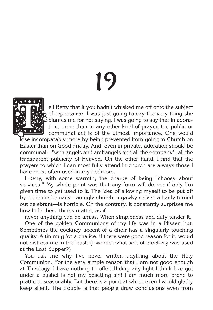

Tell Betty that it you hadn't whisked me off onto the subject<br>
and Betty that it you hadn't whisked me off onto the subject<br>
of repentance, I was just going to say the very thing she<br>
blames me for not saying. I was going of repentance, I was just going to say the very thing she blames me for not saying. I was going to say that in adoration, more than in any other kind of prayer, the public or communal act is of the utmost importance. One would

lose incomparably more by being prevented from going to Church on Easter than on Good Friday. And, even in private, adoration should be communal—"with angels and archangels and all the company", all the transparent publicity of Heaven. On the other hand, I find that the prayers to which I can most fully attend in church are always those I have most often used in my bedroom.

I deny, with some warmth, the charge of being "choosy about services." My whole point was that any form will do me if only I'm given time to get used to it. The idea of allowing myself to be put off by mere inadequacy—an ugly church, a gawky server, a badly turned out celebrant—is horrible. On the contrary, it constantly surprises me how little these things matter, as if

never anything can be amiss. When simpleness and duty tender it.

One of the golden Communions of my life was in a Nissen hut. Sometimes the cockney accent of a choir has a singularly touching quality. A tin mug for a chalice, if there were good reason for it, would not distress me in the least. (I wonder what sort of crockery was used at the Last Supper?)

You ask me why I've never written anything about the Holy Communion. For the very simple reason that I am not good enough at Theology. I have nothing to offer. Hiding any light I think I've got under a bushel is not my besetting sin! I am much more prone to prattle unseasonably. But there is a point at which even I would gladly keep silent. The trouble is that people draw conclusions even from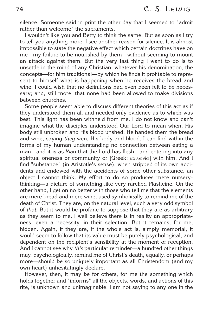silence. Someone said in print the other day that I seemed to "admit rather than welcome" the sacraments.

I wouldn't like you and Betty to think the same. But as soon as I try to tell you anything more, I see another reason for silence. It is almost impossible to state the negative effect which certain doctrines have on me—my failure to be nourished by them—without seeming to mount an attack against them. But the very last thing I want to do is to unsettle in the mind of any Christian, whatever his denomination, the concepts—for him traditional—by which he finds it profitable to represent to himself what is happening when he receives the bread and wine. I could wish that no definitions had even been felt to be necessary; and, still more, that none had been allowed to make divisions between churches.

Some people seem able to discuss different theories of this act as if they understood them all and needed only evidence as to which was best. This light has been withheld from me. I do not know and can't imagine what the disciples understood Our Lord to mean when, His body still unbroken and His blood unshed, He handed them the bread and wine, saying *they* were His body and blood. I can find within the forms of my human understanding no connection between eating a man—and it is as Man that the Lord has flesh—and entering into any spiritual oneness or community or [Greek: κοινωνία] with him. And I find "substance" (in Aristotle's sense), when stripped of its own accidents and endowed with the accidents of some other substance, an object I cannot think. My effort to do so produces mere nurserythinking—a picture of something like very rarefied Plasticine. On the other hand, I get on no better with those who tell me that the elements are mere bread and mere wine, used symbolically to remind me of the death of Christ. They are, on the natural level, such a very odd symbol of *that*. But it would be profane to suppose that they are as arbitrary as they seem to me. I well believe there is in reality an appropriateness, even a necessity, in their selection. But it remains, for me, hidden. Again, if they are, if the whole act is, simply memorial, it would seem to follow that its value must be purely psychological, and dependent on the recipient's sensibility at the moment of reception. And I cannot see why *this* particular reminder—a hundred other things may, psychologically, remind me of Christ's death, equally, or perhaps more—should be so uniquely important as all Christendom (and my own heart) unhesitatingly declare.

However, then, it may be for others, for me the something which holds together and "informs" all the objects, words, and actions of this rite, is unknown and unimaginable. I am not saying to any one in the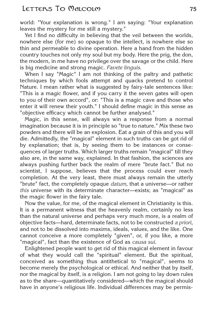world: "Your explanation is wrong." I am saying: "Your explanation leaves the mystery for me still a mystery."

Yet I find no difficulty in believing that the veil between the worlds, nowhere else (for me) so opaque to the intellect, is nowhere else so thin and permeable to divine operation. Here a hand from the hidden country touches not only my soul but my body. Here the prig, the don, the modern, in me have no privilege over the savage or the child. Here is big medicine and strong magic. *Favete linguis*.

When I say "Magic" I am not thinking of the paltry and pathetic techniques by which fools attempt and quacks pretend to control Nature. I mean rather what is suggested by fairy-tale sentences like: "This is a magic flower, and if you carry it the seven gates will open to you of their own accord", or: "This is a magic cave and those who enter it will renew their youth." I should define magic in this sense as "objective efficacy which cannot be further analysed."

Magic, in this sense, will always win a response from a normal imagination because it is in principle so "true to nature." Mix these two powders and there will be an explosion. Eat a grain of this and you will die. Admittedly, the "magical" element in such truths can be got rid of by explanation; that is, by seeing them to be instances or consequences of larger truths. Which larger truths remain "magical" till they also are, in the same way, explained. In that fashion, the sciences are always pushing further back the realm of mere "brute fact." But no scientist, I suppose, believes that the process could ever reach completion. At the very least, there must always remain the utterly "brute" fact, the completely opaque *datum*, that a universe—or rather *this* universe with its determinate character—exists; as "magical" as the magic flower in the fairy tale.

Now the value, for me, of the magical element in Christianity is this. It is a permanent witness that the heavenly realm, certainly no less than the natural universe and perhaps very much more, is a realm of objective facts—hard, determinate facts, not to be constructed *a priori*, and not to be dissolved into maxims, ideals, values, and the like. One cannot conceive a more completely "given", or, if you like, a more "magical", fact than the existence of God as *causa sui*.

Enlightened people want to get rid of this magical element in favour of what they would call the "spiritual" element. But the spiritual, conceived as something thus antithetical to "magical", seems to become merely the psychological or ethical. And neither that by itself, nor the magical by itself, is a religion. I am not going to lay down rules as to the share—quantitatively considered—which the magical should have in anyone's religious life. Individual differences may be permis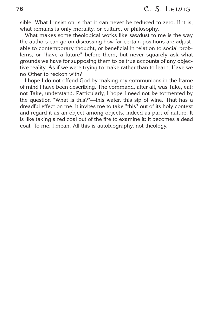sible. What I insist on is that it can never be reduced to zero. If it is, what remains is only morality, or culture, or philosophy.

What makes some theological works like sawdust to me is the way the authors can go on discussing how far certain positions are adjustable to contemporary thought, or beneficial in relation to social problems, or "have a future" before them, but never squarely ask what grounds we have for supposing them to be true accounts of any objective reality. As if we were trying to make rather than to learn. Have we no Other to reckon with?

I hope I do not offend God by making my communions in the frame of mind I have been describing. The command, after all, was Take, eat: not Take, understand. Particularly, I hope I need not be tormented by the question "What is this?"—this wafer, this sip of wine. That has a dreadful effect on me. It invites me to take "this" out of its holy context and regard it as an object among objects, indeed as part of nature. It is like taking a red coal out of the fire to examine it: it becomes a dead coal. To me, I mean. All this is autobiography, not theology.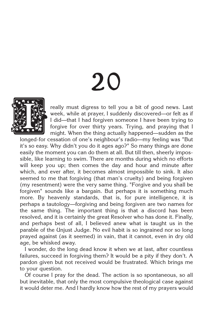

The really must digress to tell you a bit of good news. Last<br>week, while at prayer, I suddenly discovered—or felt as if<br>I did—that I had forgiven someone I have been trying to<br>forgive for over thirty years. Trying, and pra week, while at prayer, I suddenly discovered—or felt as if I did—that I had forgiven someone I have been trying to forgive for over thirty years. Trying, and praying that I might. When the thing actually happened—sudden as the

longed-for cessation of one's neighbour's radio—my feeling was "But it's so easy. Why didn't you do it ages ago?" So many things are done easily the moment you can do them at all. But till then, sheerly impossible, like learning to swim. There are months during which no efforts will keep you up; then comes the day and hour and minute after which, and ever after, it becomes almost impossible to sink. It also seemed to me that forgiving (that man's cruelty) and being forgiven (my resentment) were the very same thing. "Forgive and you shall be forgiven" sounds like a bargain. But perhaps it is something much more. By heavenly standards, that is, for pure intelligence, it is perhaps a tautology—forgiving and being forgiven are two names for the same thing. The important thing is that a discord has been resolved, and it is certainly the great Resolver who has done it. Finally, and perhaps best of all, I believed anew what is taught us in the parable of the Unjust Judge. No evil habit is so ingrained nor so long prayed against (as it seemed) in vain, that it cannot, even in dry old age, be whisked away.

I wonder, do the long dead know it when we at last, after countless failures, succeed in forgiving them? It would be a pity if they don't. A pardon given but not received would be frustrated. Which brings me to your question.

Of course I pray for the dead. The action is so spontaneous, so all but inevitable, that only the most compulsive theological case against it would deter me. And I hardly know how the rest of my prayers would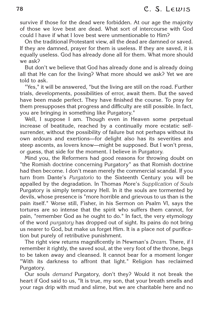survive if those for the dead were forbidden. At our age the majority of those we love best are dead. What sort of intercourse with God could I have if what I love best were unmentionable to Him?

On the traditional Protestant view, all the dead are damned or saved. If they are damned, prayer for them is useless. If they are saved, it is equally useless. God has already done all for them. What more should we ask?

But don't we believe that God has already done and is already doing all that He can for the living? What more should we ask? Yet we are told to ask.

"Yes," it will be answered, "but the living are still on the road. Further trials, developments, possibilities of error, await them. But the saved have been made perfect. They have finished the course. To pray for them presupposes that progress and difficulty are still possible. In fact, you are bringing in something like Purgatory."

Well, I suppose I am. Though even in Heaven some perpetual increase of beatitude, reached by a continually more ecstatic selfsurrender, without the possibility of failure but not perhaps without its own ardours and exertions—for delight also has its severities and steep ascents, as lovers know—might be supposed. But I won't press, or guess, that side for the moment. I believe in Purgatory.

Mind you, the Reformers had good reasons for throwing doubt on "the Romish doctrine concerning Purgatory" as that Romish doctrine had then become. I don't mean merely the commercial scandal. If you turn from Dante's *Purgatorio* to the Sixteenth Century you will be appalled by the degradation. In Thomas More's *Supplication of Souls* Purgatory is simply temporary Hell. In it the souls are tormented by devils, whose presence is "more horrible and grievous to us than is the pain itself." Worse still, Fisher, in his Sermon on Psalm VI, says the tortures are so intense that the spirit who suffers them cannot, for pain, "remember God as he ought to do." In fact, the very etymology of the word *purgatory* has dropped out of sight. Its pains do not bring us nearer to God, but make us forget Him. It is a place not of purification but purely of retributive punishment.

The right view returns magnificently in Newman's *Dream*. There, if I remember it rightly, the saved soul, at the very foot of the throne, begs to be taken away and cleansed. It cannot bear for a moment longer "With its darkness to affront that light." Religion has reclaimed Purgatory.

Our souls *demand* Purgatory, don't they? Would it not break the heart if God said to us, "It is true, my son, that your breath smells and your rags drip with mud and slime, but we are charitable here and no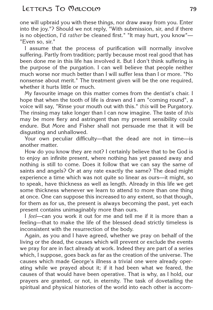one will upbraid you with these things, nor draw away from you. Enter into the joy."? Should we not reply, "With submission, sir, and if there is no objection, I'd *rather* be cleaned first." "It may hurt, you know"— "Even so, sir."

I assume that the process of purification will normally involve suffering. Partly from tradition; partly because most real good that has been done me in this life has involved it. But I don't think suffering is the purpose of the purgation. I can well believe that people neither much worse nor much better than I will suffer less than I or more. "No nonsense about merit." The treatment given will be the one required, whether it hurts little or much.

My favourite image on this matter comes from the dentist's chair. I hope that when the tooth of life is drawn and I am "coming round", a voice will say, "Rinse your mouth out with this." *this* will be Purgatory. The rinsing may take longer than I can now imagine. The taste of *this* may be more fiery and astringent than my present sensibility could endure. But More and Fisher shall not persuade me that it will be disgusting and unhallowed.

Your own peculiar difficulty—that the dead are not in time—is another matter.

How do you know they are not? I certainly believe that to be God is to enjoy an infinite present, where nothing has yet passed away and nothing is still to come. Does it follow that we can say the same of saints and angels? Or at any rate exactly the same? The dead might experience a time which was not quite so linear as ours—it might, so to speak, have thickness as well as length. Already in this life we get some thickness whenever we learn to attend to more than one thing at once. One can suppose this increased to any extent, so that though, for them as for us, the present is always becoming the past, yet each present contains unimaginably more than ours.

I *feel*—can you work it out for me and tell me if it is more than a feeling—that to make the life of the blessed dead strictly timeless is inconsistent with the resurrection of the body.

Again, as you and I have agreed, whether we pray on behalf of the living or the dead, the causes which will prevent or exclude the events we pray for are in fact already at work. Indeed they are part of a series which, I suppose, goes back as far as the creation of the universe. The causes which made George's illness a trivial one were already operating while we prayed about it; if it had been what we feared, the causes of that would have been operative. That is why, as I hold, our prayers are granted, or not, in eternity. The task of dovetailing the spiritual and physical histories of the world into each other is accom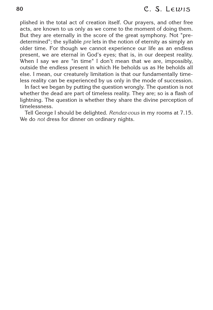plished in the total act of creation itself. Our prayers, and other free acts, are known to us only as we come to the moment of doing them. But they are eternally in the score of the great symphony. Not "predetermined"; the syllable *pre* lets in the notion of eternity as simply an older time. For though we cannot experience our life as an endless present, we are eternal in God's eyes; that is, in our deepest reality. When I say we are "in time" I don't mean that we are, impossibly, outside the endless present in which He beholds us as He beholds all else. I mean, our creaturely limitation is that our fundamentally timeless reality can be experienced by us only in the mode of succession.

In fact we began by putting the question wrongly. The question is not whether the dead are part of timeless reality. They are; so is a flash of lightning. The question is whether they share the divine perception of timelessness.

Tell George I should be delighted. *Rendez-vous* in my rooms at 7.15. We do *not* dress for dinner on ordinary nights.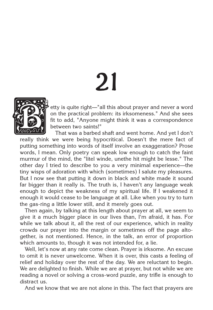

etty is quite right—"all this about prayer and never a word<br>on the practical problem: its irksomeness." And she sees<br>fit to add, "Anyone might think it was a correspondence<br>between two saints!"<br>That was a barbed shaft and on the practical problem: its irksomeness." And she sees fit to add, "Anyone might think it was a correspondence between two saints!"

That was a barbed shaft and went home. And yet I don't really think we were being hypocritical. Doesn't the mere fact of putting something into words of itself involve an exaggeration? Prose words, I mean. Only poetry can speak low enough to catch the faint murmur of the mind, the "litel winde, unethe hit might be lesse." The other day I tried to describe to you a very minimal experience—the tiny wisps of adoration with which (sometimes) I salute my pleasures. But I now see that putting it down in black and white made it sound far bigger than it really is. The truth is, I haven't any language weak enough to depict the weakness of my spiritual life. If I weakened it enough it would cease to be language at all. Like when you try to turn the gas-ring a little lower still, and it merely goes out.

Then again, by talking at this length about prayer at all, we seem to give it a much bigger place in our lives than, I'm afraid, it has. For while we talk about it, all the rest of our experience, which in reality crowds our prayer into the margin or sometimes off the page altogether, is not mentioned. Hence, in the talk, an error of proportion which amounts to, though it was not intended for, a lie.

Well, let's now at any rate come clean. Prayer is irksome. An excuse to omit it is never unwelcome. When it is over, this casts a feeling of relief and holiday over the rest of the day. We are reluctant to begin. We are delighted to finish. While we are at prayer, but not while we are reading a novel or solving a cross-word puzzle, any trifle is enough to distract us.

And we know that we are not alone in this. The fact that prayers are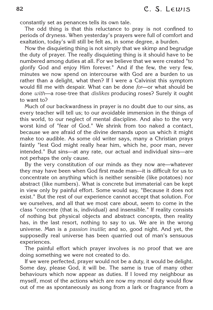constantly set as penances tells its own tale.

The odd thing is that this reluctance to pray is not confined to periods of dryness. When yesterday's prayers were full of comfort and exaltation, today's will still be felt as, in some degree, a burden.

Now the disquieting thing is not simply that we skimp and begrudge the duty of prayer. The really disquieting thing is it should have to be numbered among duties at all. For we believe that we were created "to glorify God and enjoy Him forever." And if the few, the very few, minutes we now spend on intercourse with God are a burden to us rather than a delight, what then? If I were a Calvinist this symptom would fill me with despair. What can be done *for*—or what should be done *with*—a rose-tree that *dislikes* producing roses? Surely it ought to want to?

Much of our backwardness in prayer is no doubt due to our sins, as every teacher will tell us; to our avoidable immersion in the things of this world, to our neglect of mental discipline. And also to the very worst kind of "fear of God." We shrink from too naked a contact, because we are afraid of the divine demands upon us which it might make too audible. As some old writer says, many a Christian prays faintly "lest God might really hear him, which he, poor man, never intended." But sins—at any rate, our actual and individual sins—are not perhaps the only cause.

By the very constitution of our minds as they now are—whatever they may have been when God first made man—it is difficult for us to concentrate on anything which is neither sensible (like potatoes) nor abstract (like numbers). What is concrete but immaterial can be kept in view only by painful effort. Some would say, "Because it does not exist." But the rest of our experience cannot accept that solution. For we ourselves, and all that we most care about, seem to come in the class "concrete (that is, individual) and insensible." If reality consists of nothing but physical objects and abstract concepts, then reality has, in the last resort, nothing to say to us. We are in the wrong universe. Man is a *passion inutile*; and so, good night. And yet, the supposedly real universe has been quarried out of man's sensuous experiences.

The painful effort which prayer involves is no proof that we are doing something we were not created to do.

If we were perfected, prayer would not be a duty, it would be delight. Some day, please God, it will be. The same is true of many other behaviours which now appear as duties. If I loved my neighbour as myself, most of the actions which are now my moral duty would flow out of me as spontaneously as song from a lark or fragrance from a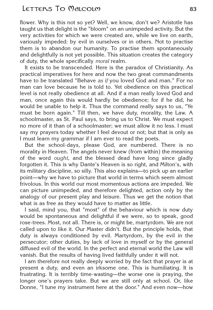flower. Why is this not so yet? Well, we know, don't we? Aristotle has taught us that delight is the "bloom" on an unimpeded activity. But the very activities for which we were created are, while we live on earth, variously impeded: by evil in ourselves or in others. Not to practise them is to abandon our humanity. To practise them spontaneously and delightfully is not yet possible. This situation creates the category of duty, the whole specifically *moral* realm.

It exists to be transcended. Here is the paradox of Christianity. As practical imperatives for here and now the two great commandments have to be translated "Behave *as if* you loved God and man." For no man can love because he is told to. Yet obedience on this practical level is not really obedience at all. And if a man really loved God and man, once again this would hardly be obedience; for if he did, he would be unable to help it. Thus the command really says to us, "Ye must be born again." Till then, we have duty, morality, the Law. A schoolmaster, as St. Paul says, to bring us to Christ. We must expect no more of it than of a schoolmaster; we must allow it no less. I must say my prayers today whether I feel devout or not; but that is only as I must learn my grammar if I am ever to read the poets.

But the school-days, please God, are numbered. There is no morality in Heaven. The angels never knew (from within) the meaning of the word *ought*, and the blessed dead have long since gladly forgotten it. This is why Dante's Heaven is so right, and Milton's, with its military discipline, so silly. This also explains—to pick up an earlier point—why we have to picture that world in terms which seem almost frivolous. In this world our most momentous actions are impeded. We can picture unimpeded, and therefore delighted, action only by the analogy of our present play and leisure. Thus we get the notion that what is as free as they would have to matter as little.

I said, mind you, that "most" of the behaviour which is now duty would be spontaneous and delightful if we were, so to speak, good rose-trees. Most, not all. There is, or might be, martyrdom. We are not called upon to like it. Our Master didn't. But the principle holds, that duty is always conditioned by evil. Martyrdom, by the evil in the persecutor; other duties, by lack of love in myself or by the general diffused evil of the world. In the perfect and eternal world the Law will vanish. But the results of having lived faithfully under it will not.

I am therefore not really deeply worried by the fact that prayer is at present a duty, and even an irksome one. This is humiliating. It is frustrating. It is terribly time-wasting—the worse one is praying, the longer one's prayers take. But we are still only at school. Or, like Donne, "I tune my instrument here at the door." And even now—how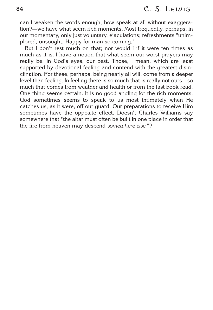can I weaken the words enough, how speak at all without exaggeration?—we have what seem rich moments. Most frequently, perhaps, in our momentary, only just voluntary, ejaculations; refreshments "unimplored, unsought, Happy for man so coming."

But I don't rest much on that; nor would I if it were ten times as much as it is. I have a notion that what seem our worst prayers may really be, in God's eyes, our best. Those, I mean, which are least supported by devotional feeling and contend with the greatest disinclination. For these, perhaps, being nearly all will, come from a deeper level than feeling. In feeling there is so much that is really not ours—so much that comes from weather and health or from the last book read. One thing seems certain. It is no good angling for the rich moments. God sometimes seems to speak to us most intimately when He catches us, as it were, off our guard. Our preparations to receive Him sometimes have the opposite effect. Doesn't Charles Williams say somewhere that "the altar must often be built in one place in order that the fire from heaven may descend *somewhere else*."?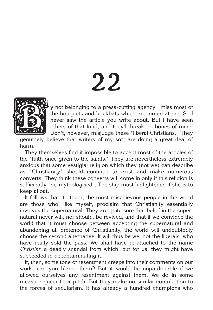

By not belonging to a press-cutting agency I miss most of the bouquets and brickbats which are aimed at me. So I never saw the article you write about. But I have seen others of that kind, and they'll break no bones of min the bouquets and brickbats which are aimed at me. So I never saw the article you write about. But I have seen others of that kind, and they'll break no bones of mine. Don't, however, misjudge these "liberal Christians." They

genuinely believe that writers of my sort are doing a great deal of harm.

They themselves find it impossible to accept most of the articles of the "faith once given to the saints." They are nevertheless extremely anxious that some vestigial religion which they (not we) can describe as "Christianity" should continue to exist and make numerous converts. They think these converts will come in only if this religion is sufficiently "de-mythologised". The ship must be lightened if she is to keep afloat.

It follows that, to them, the most mischievous people in the world are those who, like myself, proclaim that Christianity essentially involves the supernatural. They are quite sure that belief in the supernatural never will, nor should, be revived, and that if we convince the world that it must choose between accepting the supernatural and abandoning all pretence of Christianity, the world will undoubtedly choose the second alternative. It will thus be we, not the liberals, who have really sold the pass. We shall have re-attached to the name *Christian* a deadly scandal from which, but for us, they might have succeeded in decontaminating it.

If, then, some tone of resentment creeps into their comments on our work, can you blame them? But it would be unpardonable if we allowed ourselves any resentment against them. We do in some measure queer their pitch. But they make no similar contribution to the forces of secularism. It has already a hundred champions who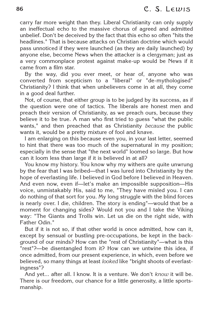#### 86 C. S. LEWIS

carry far more weight than they. Liberal Christianity can only supply an ineffectual echo to the massive chorus of agreed and admitted unbelief. Don't be deceived by the fact that this echo so often "hits the headlines." That is because attacks on Christian doctrine which would pass unnoticed if they were launched (as they are daily launched) by anyone else, become News when the attacker is a clergyman; just as a very commonplace protest against make-up would be News if it came from a film star.

By the way, did you ever meet, or hear of, anyone who was converted from scepticism to a "liberal" or "de-mythologised" Christianity? I think that when unbelievers come in at all, they come in a good deal further.

Not, of course, that either group is to be judged by its success, as if the question were one of tactics. The liberals are honest men and preach their version of Christianity, as we preach ours, because they believe it to be true. A man who first tried to guess "what the public wants," and then preached that as Christianity *because* the public wants it, would be a pretty mixture of fool and knave.

I am enlarging on this because even you, in your last letter, seemed to hint that there was too much of the supernatural in my position; especially in the sense that "the next world" loomed so large. But how can it loom less than large if it is believed in at all?

You know my history. You know why my withers are quite unwrung by the fear that I was bribed—that I was lured into Christianity by the hope of everlasting life. I believed in God before I believed in Heaven. And even now, even if—let's make an impossible supposition—His voice, unmistakably His, said to me, "They have misled you. I can do nothing of that sort for you. My long struggle with the blind forces is nearly over. I die, children. The story is ending"—would that be a moment for changing sides? Would not you and I take the Viking way: "The Giants and Trolls win. Let us die on the right side, with Father Odin."

But if it is not so, if that other world is once admitted, how can it, except by sensual or bustling pre-occupations, be kept in the background of our minds? How can the "rest of Christianity"—what is this "rest"?—be disentangled from it? How can we untwine this idea, if once admitted, from our present experience, in which, even before we believed, so many things at least *looked* like "bright shoots of everlastingness"?

And yet... after all. I know. It is a venture. We don't *know* it will be. There is our freedom, our chance for a little generosity, a little sportsmanship.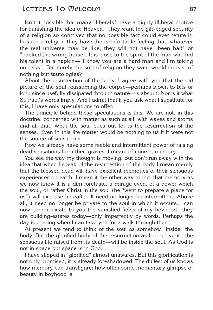Isn't it possible that many "liberals" have a highly illiberal motive for banishing the idea of Heaven? They want the gilt-edged security of a religion so contrived that no possible fact could ever refute it. In such a religion they have the comfortable feeling that, whatever the real universe may be like, they will not have "been had" or "backed the wrong horse". It is close to the spirit of the man who hid his talent in a napkin—"I know you are a hard man and I'm taking no risks". But surely the sort of religion they want would consist of nothing but tautologies?

About the resurrection of the body. I agree with you that the old picture of the soul reassuming the corpse—perhaps blown to bits or long since usefully dissipated through nature—is absurd. Nor is it what St. Paul's words imply. And I admit that if you ask what I substitute for this, I have only speculations to offer.

The principle behind these speculations is this. We are not, in this doctrine, concerned with matter as such at all: with waves and atoms and all that. What the soul cries out for is the resurrection of the senses. Even in this life matter would be nothing to us if it were not the source of sensations.

Now we already have some feeble and intermittent power of raising dead sensations from their graves. I mean, of course, memory.

You see the way my thought is moving. But don't run away with the idea that when I speak of the resurrection of the body I mean merely that the blessed dead will have excellent memories of their sensuous experiences on earth. I mean it the other way round: that memory as we now know it is a dim foretaste, a mirage even, of a power which the soul, or rather Christ in the soul (he "went to prepare a place for us") will exercise hereafter. It need no longer be intermittent. Above all, it need no longer be private to the soul in which it occurs. I can now communicate to you the vanished fields of my boyhood—they are building-estates today—only imperfectly by words. Perhaps the day is coming when I can take you for a walk through them.

At present we tend to think of the soul as somehow "inside" the body. But the glorified body of the resurrection as I conceive it—the sensuous life raised from its death—will be inside the soul. As God is not in space but space is in God.

I have slipped in "glorified" almost unawares. But this glorification is not only promised, it is already foreshadowed. The dullest of us knows how memory can transfigure; how often some momentary glimpse of beauty in boyhood is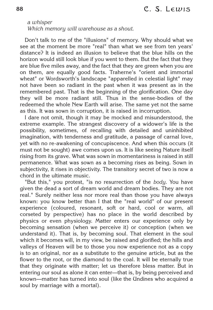*a whisper Which memory will warehouse as a shout.*

Don't talk to me of the "illusions" of memory. Why should what we see at the moment be more "real" than what we see from ten years' distance? It is indeed an illusion to believe that the blue hills on the horizon would still look blue if you went to them. But the fact that they are blue five miles away, and the fact that they are green when you are on them, are equally good facts. Traherne's "orient and immortal wheat" or Wordsworth's landscape "apparelled in celestial light" may not have been so radiant in the past when it was present as in the remembered past. That is the beginning of the glorification. One day they will be more radiant still. Thus in the sense-bodies of the redeemed the whole New Earth will arise. The same yet not the same as this. It was sown in corruption, it is raised in incorruption.

I dare not omit, though it may be mocked and misunderstood, the extreme example. The strangest discovery of a widower's life is the possibility, sometimes, of recalling with detailed and uninhibited imagination, with tenderness and gratitude, a passage of carnal love, yet with no re-awakening of concupiscence. And when this occurs (it must not be sought) awe comes upon us. It is like seeing Nature itself rising from its grave. What was sown in momentariness is raised in still permanence. What was sown as a becoming rises as being. Sown in subjectivity, it rises in objectivity. The transitory secret of two is now a chord in the ultimate music.

"But this," you protest, "is no resurrection of the *body*. You have given the dead a sort of dream world and dream bodies. They are not real." Surely neither less nor more real than those you have always known: you know better than I that the "real world" of our present experience (coloured, resonant, soft or hard, cool or warm, all corseted by perspective) has no place in the world described by physics or even physiology. Matter enters our experience only by becoming sensation (when we perceive it) or conception (when we understand it). That is, by becoming soul. That element in the soul which it becomes will, in my view, be raised and glorified; the hills and valleys of Heaven will be to those you now experience not as a copy is to an original, nor as a substitute to the genuine article, but as the flower to the root, or the diamond to the coal. It will be eternally true that they originate with matter; let us therefore bless matter. But in entering our soul as alone it can enter—that is, by being perceived and known—matter has turned into soul (like the Undines who acquired a soul by marriage with a mortal).